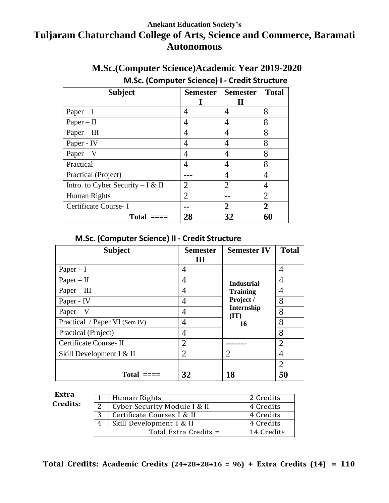# **Anekant Education Society's Tuljaram Chaturchand College of Arts, Science and Commerce, Baramati Autonomous**

# **M.Sc.(Computer Science)Academic Year 2019-2020**

# **M.Sc. (Computer Science) I - Credit Structure**

| <b>Subject</b>                     | <b>Semester</b>             | <b>Semester</b>             | <b>Total</b>   |
|------------------------------------|-----------------------------|-----------------------------|----------------|
|                                    |                             |                             |                |
| $Paper - I$                        | 4                           | 4                           | 8              |
| $Paper - II$                       | 4                           | 4                           | 8              |
| $Paper - III$                      | 4                           | 4                           | 8              |
| Paper - IV                         | 4                           | 4                           | 8              |
| $Paper - V$                        | 4                           | 4                           | 8              |
| Practical                          | 4                           | 4                           | 8              |
| Practical (Project)                |                             | 4                           | 4              |
| Intro. to Cyber Security $-I & II$ | $\mathcal{D}_{\mathcal{A}}$ | $\mathcal{D}_{\mathcal{A}}$ | 4              |
| Human Rights                       | $\mathfrak{D}$              |                             | $\overline{2}$ |
| Certificate Course-I               |                             | 2                           | 2              |
| Total                              | 28                          | 32                          | 60             |

#### **M.Sc. (Computer Science) II - Credit Structure**

| <b>Subject</b>                | <b>Semester</b> | <b>Semester IV</b>              | <b>Total</b>                |
|-------------------------------|-----------------|---------------------------------|-----------------------------|
|                               | Ш               |                                 |                             |
| $Paper - I$                   | 4               |                                 | 4                           |
| $Paper - II$                  | 4               | <b>Industrial</b>               | 4                           |
| $Paper - III$                 | 4               | <b>Training</b>                 | 4                           |
| Paper - IV                    | 4               | Project /<br>Internship<br>(TT) | 8                           |
| $Paper - V$                   | 4               |                                 | 8                           |
| Practical / Paper VI (Sem IV) | 4               | 16                              | 8                           |
| Practical (Project)           | 4               |                                 | 8                           |
| Certificate Course-II         | $\overline{2}$  |                                 | $\mathcal{D}_{\mathcal{L}}$ |
| Skill Development I & II      | $\overline{2}$  | $\mathcal{D}_{\mathcal{L}}$     | 4                           |
|                               |                 |                                 | $\overline{2}$              |
| Total                         | 32              | 18                              | 50                          |

#### **Extra Credits:**

|   | 1   Human Rights             | 2 Credits  |
|---|------------------------------|------------|
|   | Cyber Security Module I & II | 4 Credits  |
| 3 | Certificate Courses I & II   | 4 Credits  |
|   | Skill Development I & II     | 4 Credits  |
|   | Total Extra Credits =        | 14 Credits |

**Total Credits: Academic Credits (24+28+28+16 = 96) + Extra Credits (14) = 110**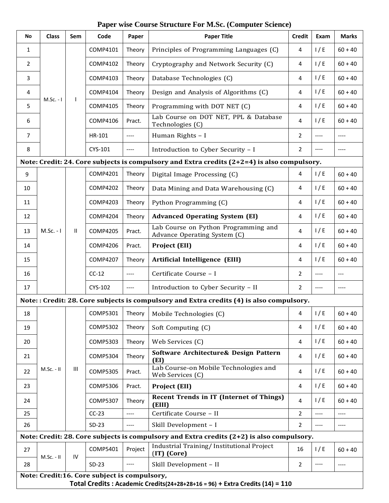#### **Paper wise Course Structure For M.Sc. (Computer Science)**

| No                                                                                          | <b>Class</b>                                                                 | Sem          | Code                                         | Paper                 | <b>Paper Title</b>                                                                            | <b>Credit</b>      | Exam | <b>Marks</b> |
|---------------------------------------------------------------------------------------------|------------------------------------------------------------------------------|--------------|----------------------------------------------|-----------------------|-----------------------------------------------------------------------------------------------|--------------------|------|--------------|
| 1                                                                                           |                                                                              |              | COMP4101                                     | Theory                | Principles of Programming Languages (C)                                                       | 4                  | 1/E  | $60 + 40$    |
| 2                                                                                           |                                                                              |              | COMP4102                                     | Theory                | Cryptography and Network Security (C)                                                         | 4                  | 1/E  | $60 + 40$    |
| 3                                                                                           |                                                                              |              | COMP4103                                     | Theory                | Database Technologies (C)                                                                     | $\overline{4}$     | 1/E  | $60 + 40$    |
| 4                                                                                           |                                                                              |              | COMP4104                                     | Theory                | Design and Analysis of Algorithms (C)                                                         | 4                  | 1/E  | $60 + 40$    |
| 5                                                                                           | $M.Sc. - I$                                                                  | $\mathbf{I}$ | COMP4105                                     | Theory                | Programming with DOT NET (C)                                                                  | 4                  | 1/E  | $60 + 40$    |
| 6                                                                                           |                                                                              |              | COMP4106                                     | Pract.                | Lab Course on DOT NET, PPL & Database<br>Technologies (C)                                     | 4                  | 1/E  | $60 + 40$    |
| $\overline{7}$                                                                              |                                                                              |              | HR-101                                       | $-----$               | Human Rights - I                                                                              | $\overline{2}$     | ---- | ----         |
| 8                                                                                           |                                                                              |              | CYS-101                                      | $---$                 | Introduction to Cyber Security - I                                                            | $\overline{2}$     | ---- | $---$        |
|                                                                                             |                                                                              |              |                                              |                       | Note: Credit: 24. Core subjects is compulsory and Extra credits $(2+2=4)$ is also compulsory. |                    |      |              |
| 9                                                                                           |                                                                              |              | COMP4201                                     | Theory                | Digital Image Processing (C)                                                                  | 4                  | 1/E  | $60 + 40$    |
| 10                                                                                          |                                                                              |              | <b>COMP4202</b>                              | Theory                | Data Mining and Data Warehousing (C)                                                          | 4                  | 1/E  | $60 + 40$    |
| 11                                                                                          |                                                                              |              | <b>COMP4203</b>                              | Theory                | Python Programming (C)                                                                        | 4                  | 1/E  | $60 + 40$    |
| 12                                                                                          | $M.Sc. - I$                                                                  |              | <b>COMP4204</b>                              | Theory                | <b>Advanced Operating System (EI)</b>                                                         | 4                  | 1/E  | $60 + 40$    |
| 13                                                                                          |                                                                              | Ш            | <b>COMP4205</b>                              | Pract.                | Lab Course on Python Programming and<br>Advance Operating System (C)                          | $\overline{4}$     | 1/E  | $60 + 40$    |
| 14                                                                                          |                                                                              |              | <b>COMP4206</b>                              | Pract.                | <b>Project (EII)</b>                                                                          | 4                  | 1/E  | $60 + 40$    |
| 15                                                                                          |                                                                              |              | <b>COMP4207</b>                              | Theory                | Artificial Intelligence (EIII)                                                                | 4                  | 1/E  | $60 + 40$    |
| 16                                                                                          |                                                                              |              | $CC-12$                                      | ----                  | Certificate Course - I                                                                        | $\overline{2}$     | ---- | $---$        |
| 17                                                                                          |                                                                              |              | CYS-102                                      | $-----$               | Introduction to Cyber Security - II                                                           | $\overline{2}$     | ---- | ----         |
|                                                                                             |                                                                              |              |                                              |                       | Note:: Credit: 28. Core subjects is compulsory and Extra credits (4) is also compulsory.      |                    |      |              |
| 18                                                                                          |                                                                              |              |                                              |                       | COMP5301   Theory   Mobile Technologies (C)                                                   | $\mathbf{\Lambda}$ | 1/E  | $60 + 40$    |
| 19                                                                                          |                                                                              |              | <b>COMP5302</b>                              | Theory                | Soft Computing (C)                                                                            | 4                  | 1/E  | $60 + 40$    |
| 20                                                                                          |                                                                              |              | <b>COMP5303</b>                              | Theory                | Web Services (C)                                                                              | 4                  | 1/E  | $60 + 40$    |
| 21                                                                                          |                                                                              |              | <b>COMP5304</b>                              | Theory                | Software Architecture& Design Pattern<br>(EI)                                                 | 4                  | 1/E  | $60 + 40$    |
| 22                                                                                          | M.Sc. - II                                                                   | Ш            | <b>COMP5305</b>                              | Pract.                | Lab Course-on Mobile Technologies and<br>Web Services (C)                                     | 4                  | 1/E  | $60 + 40$    |
| 23                                                                                          |                                                                              |              | <b>COMP5306</b>                              | Pract.                | Project (EII)                                                                                 | 4                  | 1/E  | $60 + 40$    |
| 24                                                                                          |                                                                              |              | <b>COMP5307</b>                              | Theory                | <b>Recent Trends in IT (Internet of Things)</b><br>(EIII)                                     | $\overline{4}$     | 1/E  | $60 + 40$    |
| 25                                                                                          |                                                                              |              | $CC-23$                                      | $\qquad \qquad - - -$ | Certificate Course - II                                                                       | $\overline{2}$     | ---- | ----         |
| 26                                                                                          |                                                                              |              | $SD-23$                                      | ----                  | Skill Development - I                                                                         | $\overline{2}$     | ---- | ----         |
| Note: Credit: 28. Core subjects is compulsory and Extra credits $(2+2)$ is also compulsory. |                                                                              |              |                                              |                       |                                                                                               |                    |      |              |
| 27                                                                                          | M.Sc. - II                                                                   | IV           | COMP5401                                     | Project               | Industrial Training/ Institutional Project<br>(IT) (Core)                                     | 16                 | 1/E  | $60 + 40$    |
| 28                                                                                          |                                                                              |              | $SD-23$                                      | $\qquad \qquad - - -$ | Skill Development - II                                                                        | $\overline{2}$     | ---- | $---$        |
|                                                                                             |                                                                              |              | Note: Credit:16. Core subject is compulsory, |                       |                                                                                               |                    |      |              |
|                                                                                             | Total Credits: Academic Credits(24+28+28+16 = 96) + Extra Credits (14) = 110 |              |                                              |                       |                                                                                               |                    |      |              |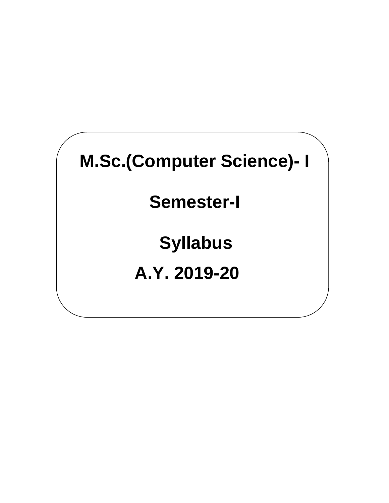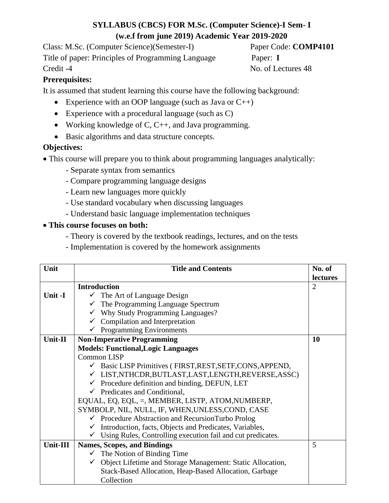# **SYLLABUS (CBCS) FOR M.Sc. (Computer Science)-I Sem- I (w.e.f from june 2019) Academic Year 2019-2020**

Class: M.Sc. (Computer Science)(Semester-I) Paper Code: **COMP4101** Title of paper: Principles of Programming Language Paper: **I** Credit -4 No. of Lectures 48

## **Prerequisites:**

It is assumed that student learning this course have the following background:

- Experience with an OOP language (such as Java or  $C_{++}$ )
- Experience with a procedural language (such as C)
- Working knowledge of C, C++, and Java programming.
- Basic algorithms and data structure concepts.

## **Objectives:**

- This course will prepare you to think about programming languages analytically:
	- Separate syntax from semantics
	- Compare programming language designs
	- Learn new languages more quickly
	- Use standard vocabulary when discussing languages
	- Understand basic language implementation techniques

## • **This course focuses on both:**

- Theory is covered by the textbook readings, lectures, and on the tests
- Implementation is covered by the homework assignments

| Unit     | <b>Title and Contents</b>                                            | No. of          |
|----------|----------------------------------------------------------------------|-----------------|
|          |                                                                      | <b>lectures</b> |
|          | <b>Introduction</b>                                                  | 2               |
| Unit -I  | $\checkmark$ The Art of Language Design                              |                 |
|          | $\checkmark$ The Programming Language Spectrum                       |                 |
|          | $\checkmark$ Why Study Programming Languages?                        |                 |
|          | $\checkmark$ Compilation and Interpretation                          |                 |
|          | $\checkmark$ Programming Environments                                |                 |
| Unit-II  | <b>Non-Imperative Programming</b>                                    | <b>10</b>       |
|          | <b>Models: Functional, Logic Languages</b>                           |                 |
|          | <b>Common LISP</b>                                                   |                 |
|          | $\checkmark$ Basic LISP Primitives (FIRST, REST, SETF, CONS, APPEND, |                 |
|          | ✓ LIST,NTHCDR,BUTLAST,LAST,LENGTH,REVERSE,ASSC)                      |                 |
|          | $\checkmark$ Procedure definition and binding, DEFUN, LET            |                 |
|          | $\checkmark$ Predicates and Conditional,                             |                 |
|          | EQUAL, EQ, EQL, =, MEMBER, LISTP, ATOM, NUMBERP,                     |                 |
|          | SYMBOLP, NIL, NULL, IF, WHEN, UNLESS, COND, CASE                     |                 |
|          | $\checkmark$ Procedure Abstraction and RecursionTurbo Prolog         |                 |
|          | $\checkmark$ Introduction, facts, Objects and Predicates, Variables, |                 |
|          | Using Rules, Controlling execution fail and cut predicates.          |                 |
| Unit-III | <b>Names, Scopes, and Bindings</b>                                   | 5               |
|          | $\checkmark$ The Notion of Binding Time                              |                 |
|          | ✓ Object Lifetime and Storage Management: Static Allocation,         |                 |
|          | Stack-Based Allocation, Heap-Based Allocation, Garbage               |                 |
|          | Collection                                                           |                 |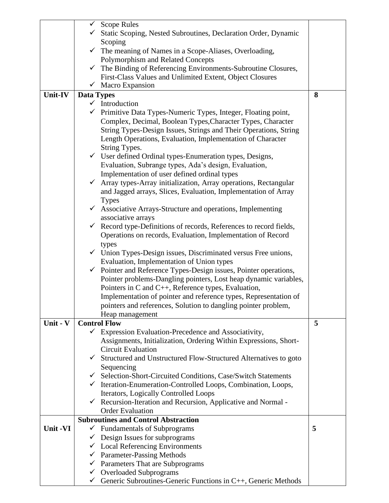|          |                   | $\checkmark$ Scope Rules                                                    |   |
|----------|-------------------|-----------------------------------------------------------------------------|---|
|          |                   | ✓ Static Scoping, Nested Subroutines, Declaration Order, Dynamic            |   |
|          |                   | Scoping                                                                     |   |
|          |                   | $\checkmark$ The meaning of Names in a Scope-Aliases, Overloading,          |   |
|          |                   | Polymorphism and Related Concepts                                           |   |
|          |                   | $\checkmark$ The Binding of Referencing Environments-Subroutine Closures,   |   |
|          |                   | First-Class Values and Unlimited Extent, Object Closures                    |   |
|          |                   |                                                                             |   |
|          |                   | $\checkmark$ Macro Expansion                                                |   |
| Unit-IV  | <b>Data Types</b> |                                                                             | 8 |
|          |                   | $\checkmark$ Introduction                                                   |   |
|          |                   | Primitive Data Types-Numeric Types, Integer, Floating point,                |   |
|          |                   | Complex, Decimal, Boolean Types, Character Types, Character                 |   |
|          |                   | String Types-Design Issues, Strings and Their Operations, String            |   |
|          |                   | Length Operations, Evaluation, Implementation of Character                  |   |
|          |                   | String Types.                                                               |   |
|          |                   | $\checkmark$ User defined Ordinal types-Enumeration types, Designs,         |   |
|          |                   |                                                                             |   |
|          |                   | Evaluation, Subrange types, Ada's design, Evaluation,                       |   |
|          |                   | Implementation of user defined ordinal types                                |   |
|          | $\checkmark$      | Array types-Array initialization, Array operations, Rectangular             |   |
|          |                   | and Jagged arrays, Slices, Evaluation, Implementation of Array              |   |
|          |                   | <b>Types</b>                                                                |   |
|          |                   | $\checkmark$ Associative Arrays-Structure and operations, Implementing      |   |
|          |                   | associative arrays                                                          |   |
|          | $\checkmark$      | Record type-Definitions of records, References to record fields,            |   |
|          |                   | Operations on records, Evaluation, Implementation of Record                 |   |
|          |                   | types                                                                       |   |
|          |                   | $\checkmark$ Union Types-Design issues, Discriminated versus Free unions,   |   |
|          |                   | Evaluation, Implementation of Union types                                   |   |
|          |                   |                                                                             |   |
|          |                   | $\checkmark$ Pointer and Reference Types-Design issues, Pointer operations, |   |
|          |                   | Pointer problems-Dangling pointers, Lost heap dynamic variables,            |   |
|          |                   | Pointers in C and C++, Reference types, Evaluation,                         |   |
|          |                   | Implementation of pointer and reference types, Representation of            |   |
|          |                   | pointers and references, Solution to dangling pointer problem,              |   |
|          |                   | Heap management                                                             |   |
| Unit - V |                   | <b>Control Flow</b>                                                         | 5 |
|          | $\checkmark$      | Expression Evaluation-Precedence and Associativity,                         |   |
|          |                   | Assignments, Initialization, Ordering Within Expressions, Short-            |   |
|          |                   | <b>Circuit Evaluation</b>                                                   |   |
|          |                   | Structured and Unstructured Flow-Structured Alternatives to goto            |   |
|          |                   | Sequencing                                                                  |   |
|          |                   | Gelection-Short-Circuited Conditions, Case/Switch Statements                |   |
|          |                   |                                                                             |   |
|          |                   | ← Iteration-Enumeration-Controlled Loops, Combination, Loops,               |   |
|          |                   | Iterators, Logically Controlled Loops                                       |   |
|          |                   | $\checkmark$ Recursion-Iteration and Recursion, Applicative and Normal -    |   |
|          |                   | <b>Order Evaluation</b>                                                     |   |
|          |                   | <b>Subroutines and Control Abstraction</b>                                  |   |
| Unit -VI |                   | $\checkmark$ Fundamentals of Subprograms                                    | 5 |
|          |                   | Design Issues for subprograms                                               |   |
|          | $\checkmark$      | <b>Local Referencing Environments</b>                                       |   |
|          |                   | $\checkmark$ Parameter-Passing Methods                                      |   |
|          |                   | $\checkmark$ Parameters That are Subprograms                                |   |
|          |                   | $\checkmark$ Overloaded Subprograms                                         |   |
|          | $\checkmark$      | Generic Subroutines-Generic Functions in C++, Generic Methods               |   |
|          |                   |                                                                             |   |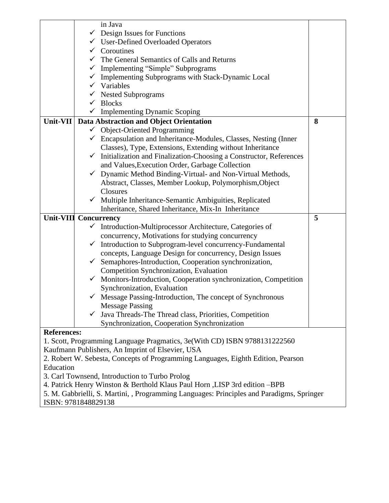|                                                                                           | in Java                                                                            |   |  |  |
|-------------------------------------------------------------------------------------------|------------------------------------------------------------------------------------|---|--|--|
|                                                                                           | $\checkmark$ Design Issues for Functions                                           |   |  |  |
|                                                                                           | √ User-Defined Overloaded Operators                                                |   |  |  |
|                                                                                           | $\checkmark$ Coroutines                                                            |   |  |  |
|                                                                                           | The General Semantics of Calls and Returns                                         |   |  |  |
|                                                                                           | Implementing "Simple" Subprograms                                                  |   |  |  |
|                                                                                           | Implementing Subprograms with Stack-Dynamic Local<br>✓                             |   |  |  |
|                                                                                           | $\checkmark$ Variables                                                             |   |  |  |
|                                                                                           | <b>Nested Subprograms</b><br>$\checkmark$                                          |   |  |  |
|                                                                                           | $\checkmark$ Blocks                                                                |   |  |  |
|                                                                                           | $\checkmark$ Implementing Dynamic Scoping                                          |   |  |  |
| <b>Unit-VII</b>                                                                           | <b>Data Abstraction and Object Orientation</b>                                     | 8 |  |  |
|                                                                                           | $\checkmark$ Object-Oriented Programming                                           |   |  |  |
|                                                                                           | $\checkmark$ Encapsulation and Inheritance-Modules, Classes, Nesting (Inner        |   |  |  |
|                                                                                           | Classes), Type, Extensions, Extending without Inheritance                          |   |  |  |
|                                                                                           | Initialization and Finalization-Choosing a Constructor, References<br>$\checkmark$ |   |  |  |
|                                                                                           | and Values, Execution Order, Garbage Collection                                    |   |  |  |
|                                                                                           | Dynamic Method Binding-Virtual- and Non-Virtual Methods,<br>$\checkmark$           |   |  |  |
|                                                                                           | Abstract, Classes, Member Lookup, Polymorphism, Object                             |   |  |  |
|                                                                                           | Closures                                                                           |   |  |  |
|                                                                                           | $\checkmark$ Multiple Inheritance-Semantic Ambiguities, Replicated                 |   |  |  |
|                                                                                           | Inheritance, Shared Inheritance, Mix-In Inheritance                                |   |  |  |
|                                                                                           | <b>Unit-VIII Concurrency</b>                                                       | 5 |  |  |
|                                                                                           | $\checkmark$ Introduction-Multiprocessor Architecture, Categories of               |   |  |  |
|                                                                                           | concurrency, Motivations for studying concurrency                                  |   |  |  |
|                                                                                           | Introduction to Subprogram-level concurrency-Fundamental<br>$\checkmark$           |   |  |  |
|                                                                                           | concepts, Language Design for concurrency, Design Issues                           |   |  |  |
|                                                                                           | Semaphores-Introduction, Cooperation synchronization,<br>$\checkmark$              |   |  |  |
|                                                                                           | Competition Synchronization, Evaluation                                            |   |  |  |
|                                                                                           | Monitors-Introduction, Cooperation synchronization, Competition<br>$\checkmark$    |   |  |  |
|                                                                                           | Synchronization, Evaluation                                                        |   |  |  |
|                                                                                           | $\checkmark$ Message Passing-Introduction, The concept of Synchronous              |   |  |  |
|                                                                                           | <b>Message Passing</b>                                                             |   |  |  |
|                                                                                           | Java Threads-The Thread class, Priorities, Competition                             |   |  |  |
|                                                                                           | Synchronization, Cooperation Synchronization                                       |   |  |  |
| <b>References:</b>                                                                        |                                                                                    |   |  |  |
|                                                                                           | 1. Scott, Programming Language Pragmatics, 3e(With CD) ISBN 9788131222560          |   |  |  |
| Kaufmann Publishers, An Imprint of Elsevier, USA                                          |                                                                                    |   |  |  |
| 2. Robert W. Sebesta, Concepts of Programming Languages, Eighth Edition, Pearson          |                                                                                    |   |  |  |
| Education                                                                                 |                                                                                    |   |  |  |
| 3. Carl Townsend, Introduction to Turbo Prolog                                            |                                                                                    |   |  |  |
| 4. Patrick Henry Winston & Berthold Klaus Paul Horn , LISP 3rd edition -BPB               |                                                                                    |   |  |  |
| 5. M. Gabbrielli, S. Martini, , Programming Languages: Principles and Paradigms, Springer |                                                                                    |   |  |  |
| ISBN: 9781848829138                                                                       |                                                                                    |   |  |  |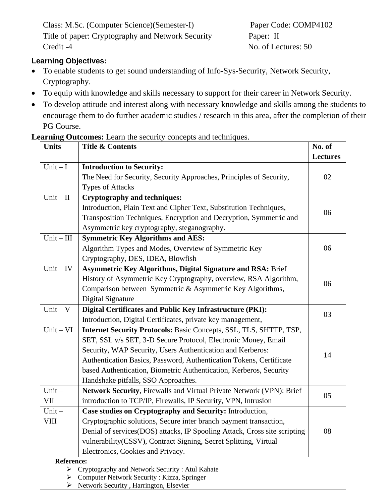Class: M.Sc. (Computer Science)(Semester-I) Paper Code: COMP4102 Title of paper: Cryptography and Network Security Paper: II Credit -4 No. of Lectures: 50

## **Learning Objectives:**

- To enable students to get sound understanding of Info-Sys-Security, Network Security, Cryptography.
- To equip with knowledge and skills necessary to support for their career in Network Security.
- To develop attitude and interest along with necessary knowledge and skills among the students to encourage them to do further academic studies / research in this area, after the completion of their PG Course.

**Learning Outcomes:** Learn the security concepts and techniques.

| <b>Units</b>      | <b>Title &amp; Contents</b>                                                                  | No. of          |
|-------------------|----------------------------------------------------------------------------------------------|-----------------|
|                   |                                                                                              | <b>Lectures</b> |
| $Unit - I$        | <b>Introduction to Security:</b>                                                             |                 |
|                   | The Need for Security, Security Approaches, Principles of Security,                          | 02              |
|                   | <b>Types of Attacks</b>                                                                      |                 |
| $Unit - II$       | <b>Cryptography and techniques:</b>                                                          |                 |
|                   | Introduction, Plain Text and Cipher Text, Substitution Techniques,                           |                 |
|                   | Transposition Techniques, Encryption and Decryption, Symmetric and                           | 06              |
|                   | Asymmetric key cryptography, steganography.                                                  |                 |
| $Unit - III$      | <b>Symmetric Key Algorithms and AES:</b>                                                     |                 |
|                   | Algorithm Types and Modes, Overview of Symmetric Key                                         | 06              |
|                   | Cryptography, DES, IDEA, Blowfish                                                            |                 |
| $Unit - IV$       | <b>Asymmetric Key Algorithms, Digital Signature and RSA: Brief</b>                           |                 |
|                   | History of Asymmetric Key Cryptography, overview, RSA Algorithm,                             |                 |
|                   | Comparison between Symmetric & Asymmetric Key Algorithms,                                    | 06              |
|                   | Digital Signature                                                                            |                 |
| $Unit - V$        | Digital Certificates and Public Key Infrastructure (PKI):                                    |                 |
|                   | Introduction, Digital Certificates, private key management,                                  | 03              |
| $Unit - VI$       | Internet Security Protocols: Basic Concepts, SSL, TLS, SHTTP, TSP,                           |                 |
|                   | SET, SSL v/s SET, 3-D Secure Protocol, Electronic Money, Email                               |                 |
|                   | Security, WAP Security, Users Authentication and Kerberos:                                   | 14              |
|                   | Authentication Basics, Password, Authentication Tokens, Certificate                          |                 |
|                   | based Authentication, Biometric Authentication, Kerberos, Security                           |                 |
|                   | Handshake pitfalls, SSO Approaches.                                                          |                 |
| $Unit -$          | <b>Network Security, Firewalls and Virtual Private Network (VPN): Brief</b>                  | 05              |
| VII               | introduction to TCP/IP, Firewalls, IP Security, VPN, Intrusion                               |                 |
| $Unit -$          | Case studies on Cryptography and Security: Introduction,                                     |                 |
| <b>VIII</b>       | Cryptographic solutions, Secure inter branch payment transaction,                            |                 |
|                   | Denial of services (DOS) attacks, IP Spooling Attack, Cross site scripting                   | 08              |
|                   | vulnerability (CSSV), Contract Signing, Secret Splitting, Virtual                            |                 |
|                   | Electronics, Cookies and Privacy.                                                            |                 |
| <b>Reference:</b> |                                                                                              |                 |
| ➤<br>➤            | Cryptography and Network Security: Atul Kahate<br>Computer Network Security: Kizza, Springer |                 |
|                   | $\triangleright$ Network Security, Harrington, Elsevier                                      |                 |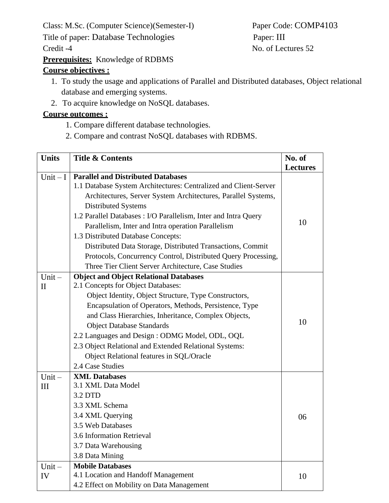Class: M.Sc. (Computer Science)(Semester-I) Paper Code: COMP4103

Title of paper: Database Technologies Paper: III

Credit -4 No. of Lectures 52

**Prerequisites:** Knowledge of RDBMS

# **Course objectives :**

- 1. To study the usage and applications of Parallel and Distributed databases, Object relational database and emerging systems.
- 2. To acquire knowledge on NoSQL databases.

## **Course outcomes :**

- 1. Compare different database technologies.
- 2. Compare and contrast NoSQL databases with RDBMS.

| <b>Units</b> | <b>Title &amp; Contents</b>                                      |                 |
|--------------|------------------------------------------------------------------|-----------------|
|              |                                                                  | <b>Lectures</b> |
| Unit $-I$    | <b>Parallel and Distributed Databases</b>                        |                 |
|              | 1.1 Database System Architectures: Centralized and Client-Server |                 |
|              | Architectures, Server System Architectures, Parallel Systems,    |                 |
|              | <b>Distributed Systems</b>                                       |                 |
|              | 1.2 Parallel Databases : I/O Parallelism, Inter and Intra Query  |                 |
|              | Parallelism, Inter and Intra operation Parallelism               | 10              |
|              | 1.3 Distributed Database Concepts:                               |                 |
|              | Distributed Data Storage, Distributed Transactions, Commit       |                 |
|              | Protocols, Concurrency Control, Distributed Query Processing,    |                 |
|              | Three Tier Client Server Architecture, Case Studies              |                 |
| $Unit -$     | <b>Object and Object Relational Databases</b>                    |                 |
| $\mathbf{I}$ | 2.1 Concepts for Object Databases:                               |                 |
|              | Object Identity, Object Structure, Type Constructors,            |                 |
|              | Encapsulation of Operators, Methods, Persistence, Type           |                 |
|              | and Class Hierarchies, Inheritance, Complex Objects,             |                 |
|              | <b>Object Database Standards</b>                                 | 10              |
|              | 2.2 Languages and Design: ODMG Model, ODL, OQL                   |                 |
|              | 2.3 Object Relational and Extended Relational Systems:           |                 |
|              | Object Relational features in SQL/Oracle                         |                 |
|              | 2.4 Case Studies                                                 |                 |
| $Unit -$     | <b>XML Databases</b>                                             |                 |
| III          | 3.1 XML Data Model                                               |                 |
|              | 3.2 DTD                                                          |                 |
|              | 3.3 XML Schema                                                   |                 |
|              | 3.4 XML Querying                                                 | 06              |
|              | 3.5 Web Databases                                                |                 |
|              | 3.6 Information Retrieval                                        |                 |
|              | 3.7 Data Warehousing                                             |                 |
|              | 3.8 Data Mining                                                  |                 |
| $Unit -$     | <b>Mobile Databases</b>                                          |                 |
| IV           | 4.1 Location and Handoff Management                              | 10              |
|              | 4.2 Effect on Mobility on Data Management                        |                 |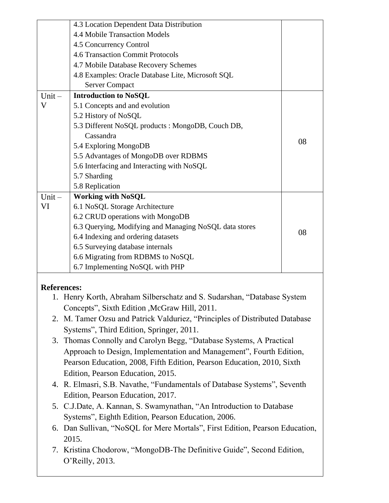|                                                                       | 4.3 Location Dependent Data Distribution                                     |    |  |  |  |
|-----------------------------------------------------------------------|------------------------------------------------------------------------------|----|--|--|--|
|                                                                       | 4.4 Mobile Transaction Models                                                |    |  |  |  |
|                                                                       | 4.5 Concurrency Control                                                      |    |  |  |  |
|                                                                       | <b>4.6 Transaction Commit Protocols</b>                                      |    |  |  |  |
|                                                                       | 4.7 Mobile Database Recovery Schemes                                         |    |  |  |  |
|                                                                       | 4.8 Examples: Oracle Database Lite, Microsoft SQL                            |    |  |  |  |
|                                                                       | <b>Server Compact</b>                                                        |    |  |  |  |
| $Unit -$                                                              | <b>Introduction to NoSQL</b>                                                 |    |  |  |  |
| V                                                                     | 5.1 Concepts and and evolution                                               |    |  |  |  |
|                                                                       | 5.2 History of NoSQL                                                         |    |  |  |  |
|                                                                       | 5.3 Different NoSQL products : MongoDB, Couch DB,                            |    |  |  |  |
|                                                                       | Cassandra                                                                    |    |  |  |  |
|                                                                       | 5.4 Exploring MongoDB                                                        | 08 |  |  |  |
|                                                                       | 5.5 Advantages of MongoDB over RDBMS                                         |    |  |  |  |
|                                                                       | 5.6 Interfacing and Interacting with NoSQL                                   |    |  |  |  |
|                                                                       | 5.7 Sharding                                                                 |    |  |  |  |
|                                                                       | 5.8 Replication                                                              |    |  |  |  |
| $Unit -$                                                              | <b>Working with NoSQL</b>                                                    |    |  |  |  |
| VI                                                                    | 6.1 NoSQL Storage Architecture                                               |    |  |  |  |
|                                                                       | 6.2 CRUD operations with MongoDB                                             |    |  |  |  |
|                                                                       | 6.3 Querying, Modifying and Managing NoSQL data stores                       |    |  |  |  |
|                                                                       | 6.4 Indexing and ordering datasets                                           | 08 |  |  |  |
|                                                                       | 6.5 Surveying database internals                                             |    |  |  |  |
|                                                                       | 6.6 Migrating from RDBMS to NoSQL                                            |    |  |  |  |
|                                                                       | 6.7 Implementing NoSQL with PHP                                              |    |  |  |  |
|                                                                       |                                                                              |    |  |  |  |
| <b>References:</b>                                                    |                                                                              |    |  |  |  |
|                                                                       | 1. Henry Korth, Abraham Silberschatz and S. Sudarshan, "Database System      |    |  |  |  |
|                                                                       | Concepts", Sixth Edition , McGraw Hill, 2011.                                |    |  |  |  |
|                                                                       | 2. M. Tamer Ozsu and Patrick Valduriez, "Principles of Distributed Database  |    |  |  |  |
|                                                                       | Systems", Third Edition, Springer, 2011.                                     |    |  |  |  |
|                                                                       |                                                                              |    |  |  |  |
|                                                                       | 3. Thomas Connolly and Carolyn Begg, "Database Systems, A Practical          |    |  |  |  |
|                                                                       | Approach to Design, Implementation and Management", Fourth Edition,          |    |  |  |  |
|                                                                       | Pearson Education, 2008, Fifth Edition, Pearson Education, 2010, Sixth       |    |  |  |  |
|                                                                       | Edition, Pearson Education, 2015.                                            |    |  |  |  |
|                                                                       | 4. R. Elmasri, S.B. Navathe, "Fundamentals of Database Systems", Seventh     |    |  |  |  |
|                                                                       | Edition, Pearson Education, 2017.                                            |    |  |  |  |
|                                                                       | 5. C.J.Date, A. Kannan, S. Swamynathan, "An Introduction to Database         |    |  |  |  |
|                                                                       | Systems", Eighth Edition, Pearson Education, 2006.                           |    |  |  |  |
|                                                                       | 6. Dan Sullivan, "NoSQL for Mere Mortals", First Edition, Pearson Education, |    |  |  |  |
|                                                                       | 2015.                                                                        |    |  |  |  |
| 7. Kristina Chodorow, "MongoDB-The Definitive Guide", Second Edition, |                                                                              |    |  |  |  |
|                                                                       | O'Reilly, 2013.                                                              |    |  |  |  |
|                                                                       |                                                                              |    |  |  |  |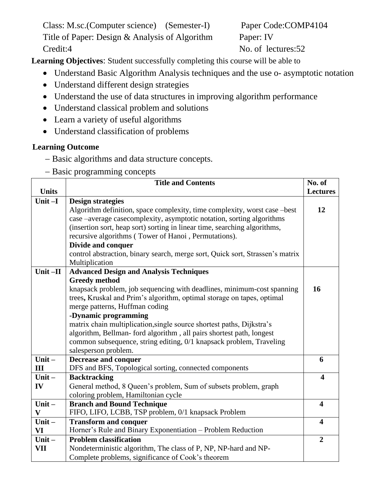Class: M.sc.(Computer science) (Semester-I) Paper Code:COMP4104 Title of Paper: Design & Analysis of Algorithm Paper: IV Credit:4 No. of lectures:52

**Learning Objectives**: Student successfully completing this course will be able to

- Understand Basic Algorithm Analysis techniques and the use o- asymptotic notation
- Understand different design strategies
- Understand the use of data structures in improving algorithm performance
- Understand classical problem and solutions
- Learn a variety of useful algorithms
- Understand classification of problems

## **Learning Outcome**

- − Basic algorithms and data structure concepts.
- − Basic programming concepts

|              | <b>Title and Contents</b>                                                     | No. of                  |
|--------------|-------------------------------------------------------------------------------|-------------------------|
| <b>Units</b> |                                                                               | <b>Lectures</b>         |
| Unit $-I$    | <b>Design strategies</b>                                                      |                         |
|              | Algorithm definition, space complexity, time complexity, worst case -best     | 12                      |
|              | case –average casecomplexity, asymptotic notation, sorting algorithms         |                         |
|              | (insertion sort, heap sort) sorting in linear time, searching algorithms,     |                         |
|              | recursive algorithms (Tower of Hanoi, Permutations).                          |                         |
|              | Divide and conquer                                                            |                         |
|              | control abstraction, binary search, merge sort, Quick sort, Strassen's matrix |                         |
|              | Multiplication                                                                |                         |
| Unit $-II$   | <b>Advanced Design and Analysis Techniques</b>                                |                         |
|              | <b>Greedy</b> method                                                          |                         |
|              | knapsack problem, job sequencing with deadlines, minimum-cost spanning        | 16                      |
|              | trees, Kruskal and Prim's algorithm, optimal storage on tapes, optimal        |                         |
|              | merge patterns, Huffman coding                                                |                         |
|              | -Dynamic programming                                                          |                         |
|              | matrix chain multiplication, single source shortest paths, Dijkstra's         |                         |
|              | algorithm, Bellman- ford algorithm, all pairs shortest path, longest          |                         |
|              | common subsequence, string editing, 0/1 knapsack problem, Traveling           |                         |
| Unit $-$     | salesperson problem.<br><b>Decrease and conquer</b>                           | 6                       |
| III          | DFS and BFS, Topological sorting, connected components                        |                         |
| Unit $-$     | <b>Backtracking</b>                                                           | $\boldsymbol{4}$        |
| IV           | General method, 8 Queen's problem, Sum of subsets problem, graph              |                         |
|              | coloring problem, Hamiltonian cycle                                           |                         |
| Unit $-$     | <b>Branch and Bound Technique</b>                                             | $\overline{\mathbf{4}}$ |
| $\mathbf{V}$ | FIFO, LIFO, LCBB, TSP problem, 0/1 knapsack Problem                           |                         |
| $Unit -$     | <b>Transform and conquer</b>                                                  | $\overline{\mathbf{4}}$ |
| <b>VI</b>    | Horner's Rule and Binary Exponentiation - Problem Reduction                   |                         |
| $Unit -$     | <b>Problem classification</b>                                                 | $\overline{2}$          |
| VII          | Nondeterministic algorithm, The class of P, NP, NP-hard and NP-               |                         |
|              | Complete problems, significance of Cook's theorem                             |                         |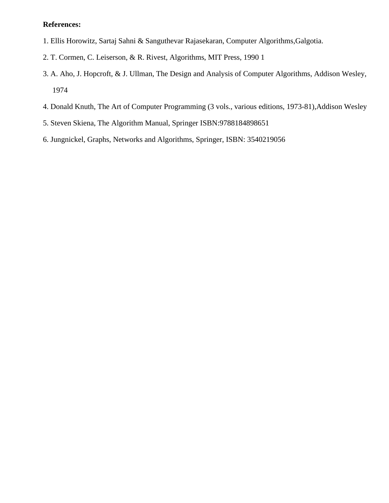#### **References:**

- 1. Ellis Horowitz, Sartaj Sahni & Sanguthevar Rajasekaran, Computer Algorithms,Galgotia.
- 2. T. Cormen, C. Leiserson, & R. Rivest, Algorithms, MIT Press, 1990 1
- 3. A. Aho, J. Hopcroft, & J. Ullman, The Design and Analysis of Computer Algorithms, Addison Wesley, 1974
- 4. Donald Knuth, The Art of Computer Programming (3 vols., various editions, 1973-81),Addison Wesley
- 5. Steven Skiena, The Algorithm Manual, Springer ISBN:9788184898651
- 6. Jungnickel, Graphs, Networks and Algorithms, Springer, ISBN: 3540219056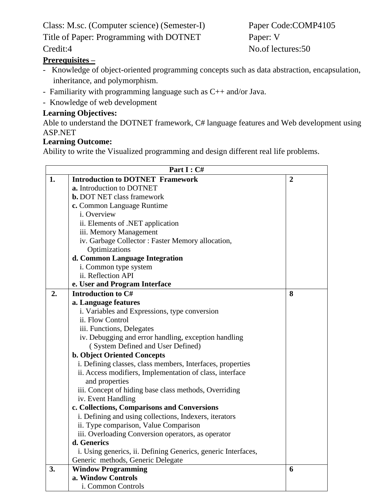Class: M.sc. (Computer science) (Semester-I) Paper Code:COMP4105

Title of Paper: Programming with DOTNET Paper: V

# **Prerequisites –**

- Knowledge of object-oriented programming concepts such as data abstraction, encapsulation, inheritance, and polymorphism.
- Familiarity with programming language such as C++ and/or Java.
- Knowledge of web development

#### **Learning Objectives:**

Able to understand the DOTNET framework, C# language features and Web development using ASP.NET

## **Learning Outcome:**

Ability to write the Visualized programming and design different real life problems.

|    | Part I: C#                                                    |                |  |  |
|----|---------------------------------------------------------------|----------------|--|--|
| 1. | <b>Introduction to DOTNET Framework</b>                       | $\overline{2}$ |  |  |
|    | a. Introduction to DOTNET                                     |                |  |  |
|    | <b>b.</b> DOT NET class framework                             |                |  |  |
|    | c. Common Language Runtime                                    |                |  |  |
|    | i. Overview                                                   |                |  |  |
|    | ii. Elements of .NET application                              |                |  |  |
|    | iii. Memory Management                                        |                |  |  |
|    | iv. Garbage Collector: Faster Memory allocation,              |                |  |  |
|    | Optimizations                                                 |                |  |  |
|    | d. Common Language Integration                                |                |  |  |
|    | i. Common type system                                         |                |  |  |
|    | ii. Reflection API                                            |                |  |  |
|    | e. User and Program Interface                                 |                |  |  |
| 2. | Introduction to C#                                            | 8              |  |  |
|    | a. Language features                                          |                |  |  |
|    | i. Variables and Expressions, type conversion                 |                |  |  |
|    | ii. Flow Control                                              |                |  |  |
|    | iii. Functions, Delegates                                     |                |  |  |
|    | iv. Debugging and error handling, exception handling          |                |  |  |
|    | (System Defined and User Defined)                             |                |  |  |
|    | <b>b. Object Oriented Concepts</b>                            |                |  |  |
|    | i. Defining classes, class members, Interfaces, properties    |                |  |  |
|    | ii. Access modifiers, Implementation of class, interface      |                |  |  |
|    | and properties                                                |                |  |  |
|    | iii. Concept of hiding base class methods, Overriding         |                |  |  |
|    | iv. Event Handling                                            |                |  |  |
|    | c. Collections, Comparisons and Conversions                   |                |  |  |
|    | i. Defining and using collections, Indexers, iterators        |                |  |  |
|    | ii. Type comparison, Value Comparison                         |                |  |  |
|    | iii. Overloading Conversion operators, as operator            |                |  |  |
|    | d. Generics                                                   |                |  |  |
|    | i. Using generics, ii. Defining Generics, generic Interfaces, |                |  |  |
|    | Generic methods, Generic Delegate                             |                |  |  |
| 3. | <b>Window Programming</b>                                     | 6              |  |  |
|    | a. Window Controls                                            |                |  |  |
|    | i. Common Controls                                            |                |  |  |

Credit:4 No.of lectures:50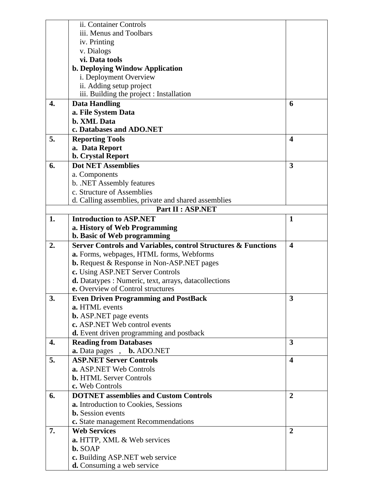| ii. Container Controls<br>iii. Menus and Toolbars<br>iv. Printing<br>v. Dialogs<br>vi. Data tools<br>b. Deploying Window Application<br>i. Deployment Overview<br>ii. Adding setup project<br>iii. Building the project : Installation<br>4.<br><b>Data Handling</b><br>6<br>a. File System Data<br><b>b. XML Data</b><br>c. Databases and ADO.NET<br>5.<br><b>Reporting Tools</b><br>$\overline{\mathbf{4}}$<br>a. Data Report<br><b>b. Crystal Report</b><br><b>Dot NET Assemblies</b><br>3<br>6.<br>a. Components<br>b. .NET Assembly features<br>c. Structure of Assemblies<br>d. Calling assemblies, private and shared assemblies<br>Part II : ASP.NET<br><b>Introduction to ASP.NET</b><br>1.<br>$\mathbf{1}$<br>a. History of Web Programming<br>b. Basic of Web programming<br>2.<br>Server Controls and Variables, control Structures & Functions<br>$\overline{\mathbf{4}}$<br>a. Forms, webpages, HTML forms, Webforms |
|------------------------------------------------------------------------------------------------------------------------------------------------------------------------------------------------------------------------------------------------------------------------------------------------------------------------------------------------------------------------------------------------------------------------------------------------------------------------------------------------------------------------------------------------------------------------------------------------------------------------------------------------------------------------------------------------------------------------------------------------------------------------------------------------------------------------------------------------------------------------------------------------------------------------------------|
|                                                                                                                                                                                                                                                                                                                                                                                                                                                                                                                                                                                                                                                                                                                                                                                                                                                                                                                                    |
|                                                                                                                                                                                                                                                                                                                                                                                                                                                                                                                                                                                                                                                                                                                                                                                                                                                                                                                                    |
|                                                                                                                                                                                                                                                                                                                                                                                                                                                                                                                                                                                                                                                                                                                                                                                                                                                                                                                                    |
|                                                                                                                                                                                                                                                                                                                                                                                                                                                                                                                                                                                                                                                                                                                                                                                                                                                                                                                                    |
|                                                                                                                                                                                                                                                                                                                                                                                                                                                                                                                                                                                                                                                                                                                                                                                                                                                                                                                                    |
|                                                                                                                                                                                                                                                                                                                                                                                                                                                                                                                                                                                                                                                                                                                                                                                                                                                                                                                                    |
|                                                                                                                                                                                                                                                                                                                                                                                                                                                                                                                                                                                                                                                                                                                                                                                                                                                                                                                                    |
|                                                                                                                                                                                                                                                                                                                                                                                                                                                                                                                                                                                                                                                                                                                                                                                                                                                                                                                                    |
|                                                                                                                                                                                                                                                                                                                                                                                                                                                                                                                                                                                                                                                                                                                                                                                                                                                                                                                                    |
|                                                                                                                                                                                                                                                                                                                                                                                                                                                                                                                                                                                                                                                                                                                                                                                                                                                                                                                                    |
|                                                                                                                                                                                                                                                                                                                                                                                                                                                                                                                                                                                                                                                                                                                                                                                                                                                                                                                                    |
|                                                                                                                                                                                                                                                                                                                                                                                                                                                                                                                                                                                                                                                                                                                                                                                                                                                                                                                                    |
|                                                                                                                                                                                                                                                                                                                                                                                                                                                                                                                                                                                                                                                                                                                                                                                                                                                                                                                                    |
|                                                                                                                                                                                                                                                                                                                                                                                                                                                                                                                                                                                                                                                                                                                                                                                                                                                                                                                                    |
|                                                                                                                                                                                                                                                                                                                                                                                                                                                                                                                                                                                                                                                                                                                                                                                                                                                                                                                                    |
|                                                                                                                                                                                                                                                                                                                                                                                                                                                                                                                                                                                                                                                                                                                                                                                                                                                                                                                                    |
|                                                                                                                                                                                                                                                                                                                                                                                                                                                                                                                                                                                                                                                                                                                                                                                                                                                                                                                                    |
|                                                                                                                                                                                                                                                                                                                                                                                                                                                                                                                                                                                                                                                                                                                                                                                                                                                                                                                                    |
|                                                                                                                                                                                                                                                                                                                                                                                                                                                                                                                                                                                                                                                                                                                                                                                                                                                                                                                                    |
|                                                                                                                                                                                                                                                                                                                                                                                                                                                                                                                                                                                                                                                                                                                                                                                                                                                                                                                                    |
|                                                                                                                                                                                                                                                                                                                                                                                                                                                                                                                                                                                                                                                                                                                                                                                                                                                                                                                                    |
|                                                                                                                                                                                                                                                                                                                                                                                                                                                                                                                                                                                                                                                                                                                                                                                                                                                                                                                                    |
|                                                                                                                                                                                                                                                                                                                                                                                                                                                                                                                                                                                                                                                                                                                                                                                                                                                                                                                                    |
|                                                                                                                                                                                                                                                                                                                                                                                                                                                                                                                                                                                                                                                                                                                                                                                                                                                                                                                                    |
|                                                                                                                                                                                                                                                                                                                                                                                                                                                                                                                                                                                                                                                                                                                                                                                                                                                                                                                                    |
|                                                                                                                                                                                                                                                                                                                                                                                                                                                                                                                                                                                                                                                                                                                                                                                                                                                                                                                                    |
|                                                                                                                                                                                                                                                                                                                                                                                                                                                                                                                                                                                                                                                                                                                                                                                                                                                                                                                                    |
| <b>b.</b> Request & Response in Non-ASP.NET pages                                                                                                                                                                                                                                                                                                                                                                                                                                                                                                                                                                                                                                                                                                                                                                                                                                                                                  |
| c. Using ASP.NET Server Controls                                                                                                                                                                                                                                                                                                                                                                                                                                                                                                                                                                                                                                                                                                                                                                                                                                                                                                   |
| <b>d.</b> Datatypes : Numeric, text, arrays, datacollections                                                                                                                                                                                                                                                                                                                                                                                                                                                                                                                                                                                                                                                                                                                                                                                                                                                                       |
| e. Overview of Control structures                                                                                                                                                                                                                                                                                                                                                                                                                                                                                                                                                                                                                                                                                                                                                                                                                                                                                                  |
| 3.<br>3<br><b>Even Driven Programming and PostBack</b>                                                                                                                                                                                                                                                                                                                                                                                                                                                                                                                                                                                                                                                                                                                                                                                                                                                                             |
| a. HTML events                                                                                                                                                                                                                                                                                                                                                                                                                                                                                                                                                                                                                                                                                                                                                                                                                                                                                                                     |
| <b>b.</b> ASP.NET page events                                                                                                                                                                                                                                                                                                                                                                                                                                                                                                                                                                                                                                                                                                                                                                                                                                                                                                      |
| c. ASP.NET Web control events                                                                                                                                                                                                                                                                                                                                                                                                                                                                                                                                                                                                                                                                                                                                                                                                                                                                                                      |
| <b>d.</b> Event driven programming and postback                                                                                                                                                                                                                                                                                                                                                                                                                                                                                                                                                                                                                                                                                                                                                                                                                                                                                    |
| <b>Reading from Databases</b><br>3<br>4.                                                                                                                                                                                                                                                                                                                                                                                                                                                                                                                                                                                                                                                                                                                                                                                                                                                                                           |
| <b>a.</b> Data pages,<br><b>b.</b> ADO.NET                                                                                                                                                                                                                                                                                                                                                                                                                                                                                                                                                                                                                                                                                                                                                                                                                                                                                         |
| <b>ASP.NET Server Controls</b><br>5.<br>$\overline{\mathbf{4}}$                                                                                                                                                                                                                                                                                                                                                                                                                                                                                                                                                                                                                                                                                                                                                                                                                                                                    |
| a. ASP.NET Web Controls                                                                                                                                                                                                                                                                                                                                                                                                                                                                                                                                                                                                                                                                                                                                                                                                                                                                                                            |
| <b>b.</b> HTML Server Controls                                                                                                                                                                                                                                                                                                                                                                                                                                                                                                                                                                                                                                                                                                                                                                                                                                                                                                     |
| c. Web Controls                                                                                                                                                                                                                                                                                                                                                                                                                                                                                                                                                                                                                                                                                                                                                                                                                                                                                                                    |
| <b>DOTNET</b> assemblies and Custom Controls<br>6.<br>2                                                                                                                                                                                                                                                                                                                                                                                                                                                                                                                                                                                                                                                                                                                                                                                                                                                                            |
| a. Introduction to Cookies, Sessions                                                                                                                                                                                                                                                                                                                                                                                                                                                                                                                                                                                                                                                                                                                                                                                                                                                                                               |
| <b>b.</b> Session events                                                                                                                                                                                                                                                                                                                                                                                                                                                                                                                                                                                                                                                                                                                                                                                                                                                                                                           |
| c. State management Recommendations                                                                                                                                                                                                                                                                                                                                                                                                                                                                                                                                                                                                                                                                                                                                                                                                                                                                                                |
|                                                                                                                                                                                                                                                                                                                                                                                                                                                                                                                                                                                                                                                                                                                                                                                                                                                                                                                                    |
|                                                                                                                                                                                                                                                                                                                                                                                                                                                                                                                                                                                                                                                                                                                                                                                                                                                                                                                                    |
| <b>Web Services</b><br>7.<br>$\overline{2}$                                                                                                                                                                                                                                                                                                                                                                                                                                                                                                                                                                                                                                                                                                                                                                                                                                                                                        |
| <b>a.</b> HTTP, XML & Web services                                                                                                                                                                                                                                                                                                                                                                                                                                                                                                                                                                                                                                                                                                                                                                                                                                                                                                 |
| <b>b.</b> SOAP<br>c. Building ASP.NET web service                                                                                                                                                                                                                                                                                                                                                                                                                                                                                                                                                                                                                                                                                                                                                                                                                                                                                  |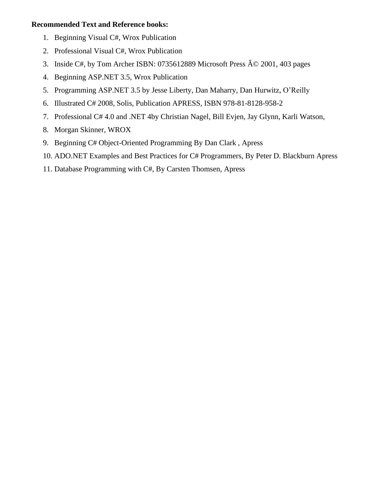#### **Recommended Text and Reference books:**

- 1. Beginning Visual C#, Wrox Publication
- 2. Professional Visual C#, Wrox Publication
- 3. Inside C#, by Tom Archer ISBN: 0735612889 Microsoft Press © 2001, 403 pages
- 4. Beginning ASP.NET 3.5, Wrox Publication
- 5. Programming ASP.NET 3.5 by Jesse Liberty, Dan Maharry, Dan Hurwitz, O'Reilly
- 6. Illustrated C# 2008, Solis, Publication APRESS, ISBN 978-81-8128-958-2
- 7. Professional C# 4.0 and .NET 4by Christian Nagel, Bill Evjen, Jay Glynn, Karli Watson,
- 8. Morgan Skinner, WROX
- 9. Beginning C# Object-Oriented Programming By Dan Clark , Apress
- 10. ADO.NET Examples and Best Practices for C# Programmers, By Peter D. Blackburn Apress
- 11. Database Programming with C#, By Carsten Thomsen, Apress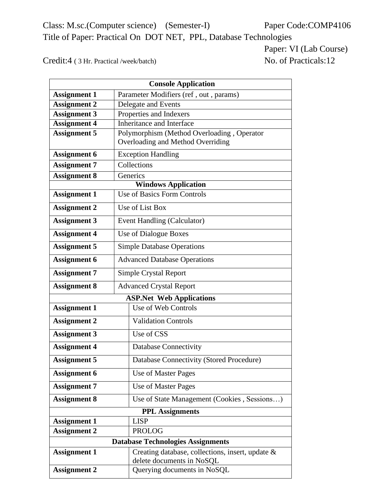Class: M.sc.(Computer science) (Semester-I) Paper Code:COMP4106 Title of Paper: Practical On DOT NET, PPL, Database Technologies

Paper: VI (Lab Course)

Credit:4 (3 Hr. Practical /week/batch) No. of Practicals:12

| <b>Console Application</b>      |  |                                                  |  |  |
|---------------------------------|--|--------------------------------------------------|--|--|
| <b>Assignment 1</b>             |  | Parameter Modifiers (ref, out, params)           |  |  |
| <b>Assignment 2</b>             |  | Delegate and Events                              |  |  |
| <b>Assignment 3</b>             |  | Properties and Indexers                          |  |  |
| <b>Assignment 4</b>             |  | Inheritance and Interface                        |  |  |
| <b>Assignment 5</b>             |  | Polymorphism (Method Overloading, Operator       |  |  |
|                                 |  | Overloading and Method Overriding                |  |  |
| <b>Assignment 6</b>             |  | <b>Exception Handling</b>                        |  |  |
| <b>Assignment 7</b>             |  | Collections                                      |  |  |
| <b>Assignment 8</b>             |  | Generics                                         |  |  |
|                                 |  | <b>Windows Application</b>                       |  |  |
| <b>Assignment 1</b>             |  | <b>Use of Basics Form Controls</b>               |  |  |
| <b>Assignment 2</b>             |  | Use of List Box                                  |  |  |
| <b>Assignment 3</b>             |  | Event Handling (Calculator)                      |  |  |
| <b>Assignment 4</b>             |  | Use of Dialogue Boxes                            |  |  |
| <b>Assignment 5</b>             |  | <b>Simple Database Operations</b>                |  |  |
| <b>Assignment 6</b>             |  | <b>Advanced Database Operations</b>              |  |  |
| <b>Assignment 7</b>             |  | <b>Simple Crystal Report</b>                     |  |  |
| <b>Assignment 8</b>             |  | <b>Advanced Crystal Report</b>                   |  |  |
| <b>ASP.Net Web Applications</b> |  |                                                  |  |  |
| <b>Assignment 1</b>             |  | Use of Web Controls                              |  |  |
| <b>Assignment 2</b>             |  | <b>Validation Controls</b>                       |  |  |
| <b>Assignment 3</b>             |  | Use of CSS                                       |  |  |
| <b>Assignment 4</b>             |  | <b>Database Connectivity</b>                     |  |  |
| <b>Assignment 5</b>             |  | Database Connectivity (Stored Procedure)         |  |  |
| <b>Assignment 6</b>             |  | Use of Master Pages                              |  |  |
| <b>Assignment 7</b>             |  | Use of Master Pages                              |  |  |
| <b>Assignment 8</b>             |  | Use of State Management (Cookies, Sessions)      |  |  |
|                                 |  | <b>PPL Assignments</b>                           |  |  |
| <b>Assignment 1</b>             |  | <b>LISP</b>                                      |  |  |
| <b>Assignment 2</b>             |  | <b>PROLOG</b>                                    |  |  |
|                                 |  | <b>Database Technologies Assignments</b>         |  |  |
| <b>Assignment 1</b>             |  | Creating database, collections, insert, update & |  |  |
|                                 |  | delete documents in NoSQL                        |  |  |
| <b>Assignment 2</b>             |  | Querying documents in NoSQL                      |  |  |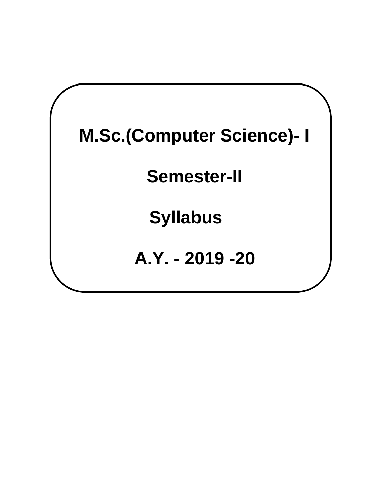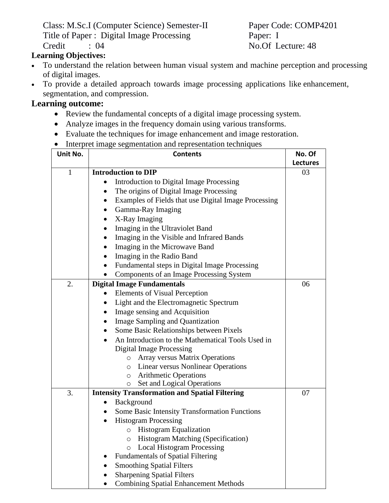Class: M.Sc.I (Computer Science) Semester-II Paper Code: COMP4201 Title of Paper : Digital Image Processing Paper: I Credit : 04 No.Of Lecture: 48

**Learning Objectives:**

- To understand the relation between human visual system and machine perception and processing of digital images.
- To provide a detailed approach towards image processing applications like enhancement, segmentation, and compression.

## **Learning outcome:**

- Review the fundamental concepts of a digital image processing system.
- Analyze images in the frequency domain using various transforms.
- Evaluate the techniques for image enhancement and image restoration.
- Interpret image segmentation and representation techniques

| Unit No.     | <b>Contents</b>                                                                           | No. Of          |
|--------------|-------------------------------------------------------------------------------------------|-----------------|
|              |                                                                                           | <b>Lectures</b> |
| $\mathbf{1}$ | <b>Introduction to DIP</b>                                                                | 03              |
|              | Introduction to Digital Image Processing                                                  |                 |
|              | The origins of Digital Image Processing                                                   |                 |
|              | Examples of Fields that use Digital Image Processing                                      |                 |
|              | Gamma-Ray Imaging                                                                         |                 |
|              | X-Ray Imaging                                                                             |                 |
|              | Imaging in the Ultraviolet Band                                                           |                 |
|              | Imaging in the Visible and Infrared Bands                                                 |                 |
|              | Imaging in the Microwave Band                                                             |                 |
|              | Imaging in the Radio Band                                                                 |                 |
|              | Fundamental steps in Digital Image Processing                                             |                 |
|              | Components of an Image Processing System                                                  |                 |
| 2.           | <b>Digital Image Fundamentals</b>                                                         | 06              |
|              | <b>Elements of Visual Perception</b>                                                      |                 |
|              | Light and the Electromagnetic Spectrum                                                    |                 |
|              | Image sensing and Acquisition                                                             |                 |
|              | <b>Image Sampling and Quantization</b>                                                    |                 |
|              | Some Basic Relationships between Pixels                                                   |                 |
|              | An Introduction to the Mathematical Tools Used in                                         |                 |
|              | <b>Digital Image Processing</b>                                                           |                 |
|              | Array versus Matrix Operations<br>$\circ$                                                 |                 |
|              | o Linear versus Nonlinear Operations                                                      |                 |
|              | o Arithmetic Operations                                                                   |                 |
|              | Set and Logical Operations<br>O                                                           |                 |
| 3.           | <b>Intensity Transformation and Spatial Filtering</b>                                     | 07              |
|              | Background                                                                                |                 |
|              | <b>Some Basic Intensity Transformation Functions</b>                                      |                 |
|              | <b>Histogram Processing</b>                                                               |                 |
|              | <b>Histogram Equalization</b><br>$\circ$                                                  |                 |
|              | <b>Histogram Matching (Specification)</b><br>$\circ$<br><b>Local Histogram Processing</b> |                 |
|              | $\circ$<br><b>Fundamentals of Spatial Filtering</b>                                       |                 |
|              | <b>Smoothing Spatial Filters</b>                                                          |                 |
|              | <b>Sharpening Spatial Filters</b>                                                         |                 |
|              | <b>Combining Spatial Enhancement Methods</b>                                              |                 |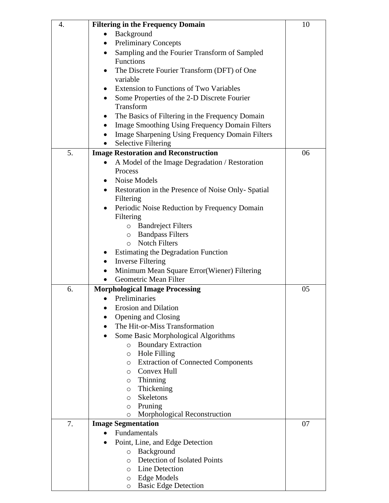| 4. | <b>Filtering in the Frequency Domain</b>                           | 10 |
|----|--------------------------------------------------------------------|----|
|    | Background<br>$\bullet$                                            |    |
|    | <b>Preliminary Concepts</b><br>٠                                   |    |
|    | Sampling and the Fourier Transform of Sampled<br>$\bullet$         |    |
|    | Functions                                                          |    |
|    | The Discrete Fourier Transform (DFT) of One                        |    |
|    | variable                                                           |    |
|    | <b>Extension to Functions of Two Variables</b>                     |    |
|    | Some Properties of the 2-D Discrete Fourier                        |    |
|    | Transform                                                          |    |
|    | The Basics of Filtering in the Frequency Domain                    |    |
|    | <b>Image Smoothing Using Frequency Domain Filters</b><br>$\bullet$ |    |
|    | <b>Image Sharpening Using Frequency Domain Filters</b>             |    |
|    | <b>Selective Filtering</b><br>$\bullet$                            |    |
| 5. | <b>Image Restoration and Reconstruction</b>                        | 06 |
|    | A Model of the Image Degradation / Restoration<br>$\bullet$        |    |
|    | Process                                                            |    |
|    | Noise Models<br>$\bullet$                                          |    |
|    | Restoration in the Presence of Noise Only-Spatial<br>$\bullet$     |    |
|    | Filtering                                                          |    |
|    | Periodic Noise Reduction by Frequency Domain<br>$\bullet$          |    |
|    | Filtering                                                          |    |
|    | <b>O</b> Bandreject Filters                                        |    |
|    | <b>Bandpass Filters</b><br>$\circ$                                 |    |
|    | <b>Notch Filters</b><br>$\circ$                                    |    |
|    | <b>Estimating the Degradation Function</b>                         |    |
|    | <b>Inverse Filtering</b><br>$\bullet$                              |    |
|    | Minimum Mean Square Error(Wiener) Filtering<br>$\bullet$           |    |
|    | Geometric Mean Filter<br>$\bullet$                                 |    |
| 6. | <b>Morphological Image Processing</b>                              | 05 |
|    | Preliminaries<br>$\bullet$                                         |    |
|    | <b>Erosion and Dilation</b>                                        |    |
|    | Opening and Closing                                                |    |
|    | The Hit-or-Miss Transformation                                     |    |
|    | Some Basic Morphological Algorithms<br>$\bullet$                   |    |
|    | <b>Boundary Extraction</b><br>$\circ$                              |    |
|    | Hole Filling<br>$\circ$                                            |    |
|    | <b>Extraction of Connected Components</b><br>$\circ$               |    |
|    | Convex Hull<br>$\circ$                                             |    |
|    | $\circ$ Thinning                                                   |    |
|    | Thickening<br>$\circ$                                              |    |
|    | Skeletons<br>$\circ$                                               |    |
|    | Pruning<br>O                                                       |    |
|    | Morphological Reconstruction<br>$\circ$                            |    |
| 7. | <b>Image Segmentation</b>                                          | 07 |
|    | Fundamentals                                                       |    |
|    | Point, Line, and Edge Detection<br>$\bullet$                       |    |
|    | Background<br>$\circ$                                              |    |
|    | Detection of Isolated Points<br>O                                  |    |
|    | o Line Detection                                                   |    |
|    | o Edge Models                                                      |    |
|    | <b>Basic Edge Detection</b><br>$\circ$                             |    |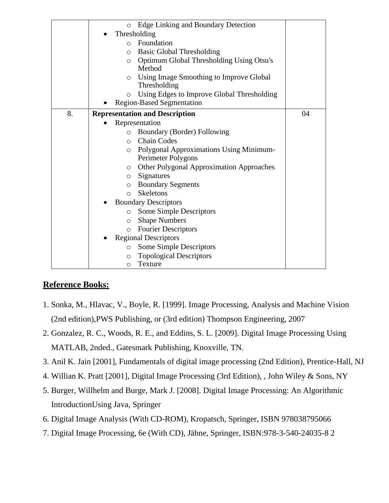|    | Edge Linking and Boundary Detection<br>$\circ$             |    |
|----|------------------------------------------------------------|----|
|    | Thresholding                                               |    |
|    | Foundation<br>$\Omega$                                     |    |
|    | <b>Basic Global Thresholding</b><br>O                      |    |
|    | <b>Optimum Global Thresholding Using Otsu's</b><br>$\circ$ |    |
|    | Method                                                     |    |
|    | Using Image Smoothing to Improve Global<br>$\circ$         |    |
|    | Thresholding                                               |    |
|    | Using Edges to Improve Global Thresholding<br>$\circ$      |    |
|    | <b>Region-Based Segmentation</b>                           |    |
| 8. | <b>Representation and Description</b>                      | 04 |
|    | Representation                                             |    |
|    | <b>Boundary (Border) Following</b><br>$\circ$              |    |
|    | <b>Chain Codes</b><br>$\Omega$                             |    |
|    | Polygonal Approximations Using Minimum-<br>O               |    |
|    | Perimeter Polygons                                         |    |
|    | <b>Other Polygonal Approximation Approaches</b><br>$\circ$ |    |
|    | Signatures<br>$\circ$                                      |    |
|    | <b>Boundary Segments</b><br>$\circ$                        |    |
|    | <b>Skeletons</b><br>$\Omega$                               |    |
|    | <b>Boundary Descriptors</b>                                |    |
|    | <b>Some Simple Descriptors</b><br>$\circ$                  |    |
|    | <b>Shape Numbers</b><br>$\circ$                            |    |
|    | <b>Fourier Descriptors</b><br>$\circ$                      |    |
|    | <b>Regional Descriptors</b>                                |    |
|    | Some Simple Descriptors<br>$\circ$                         |    |
|    | <b>Topological Descriptors</b><br>$\circ$                  |    |
|    | Texture<br>$\circ$                                         |    |

## **Reference Books:**

- 1. Sonka, M., Hlavac, V., Boyle, R. [1999]. Image Processing, Analysis and Machine Vision (2nd edition),PWS Publishing, or (3rd edition) Thompson Engineering, 2007
- 2. Gonzalez, R. C., Woods, R. E., and Eddins, S. L. [2009]. Digital Image Processing Using MATLAB, 2nded., Gatesmark Publishing, Knoxville, TN.
- 3. Anil K. Jain [2001], Fundamentals of digital image processing (2nd Edition), Prentice-Hall, NJ
- 4. Willian K. Pratt [2001], Digital Image Processing (3rd Edition), , John Wiley & Sons, NY
- 5. Burger, Willhelm and Burge, Mark J. [2008]. Digital Image Processing: An Algorithmic IntroductionUsing Java, Springer
- 6. Digital Image Analysis (With CD-ROM), Kropatsch, Springer, ISBN 978038795066
- 7. Digital Image Processing, 6e (With CD), Jähne, Springer, ISBN:978-3-540-24035-8 2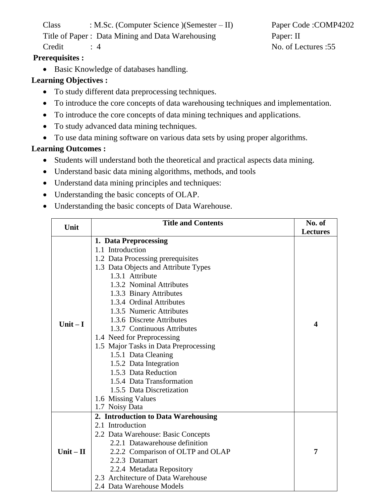Class : M.Sc. (Computer Science )(Semester – II) Paper Code :COMP4202

Title of Paper : Data Mining and Data Warehousing Paper: II

# **Prerequisites :**

• Basic Knowledge of databases handling.

# **Learning Objectives :**

- To study different data preprocessing techniques.
- To introduce the core concepts of data warehousing techniques and implementation.
- To introduce the core concepts of data mining techniques and applications.
- To study advanced data mining techniques.
- To use data mining software on various data sets by using proper algorithms.

# **Learning Outcomes :**

- Students will understand both the theoretical and practical aspects data mining.
- Understand basic data mining algorithms, methods, and tools
- Understand data mining principles and techniques:
- Understanding the basic concepts of OLAP.
- Understanding the basic concepts of Data Warehouse.

| Unit        | <b>Title and Contents</b>             | No. of                  |
|-------------|---------------------------------------|-------------------------|
|             |                                       | <b>Lectures</b>         |
|             | 1. Data Preprocessing                 |                         |
|             | 1.1 Introduction                      |                         |
|             | 1.2 Data Processing prerequisites     |                         |
|             | 1.3 Data Objects and Attribute Types  |                         |
|             | 1.3.1 Attribute                       |                         |
|             | 1.3.2 Nominal Attributes              |                         |
|             | 1.3.3 Binary Attributes               |                         |
|             | 1.3.4 Ordinal Attributes              |                         |
|             | 1.3.5 Numeric Attributes              |                         |
| Unit $-I$   | 1.3.6 Discrete Attributes             | $\overline{\mathbf{4}}$ |
|             | 1.3.7 Continuous Attributes           |                         |
|             | 1.4 Need for Preprocessing            |                         |
|             | 1.5 Major Tasks in Data Preprocessing |                         |
|             | 1.5.1 Data Cleaning                   |                         |
|             | 1.5.2 Data Integration                |                         |
|             | 1.5.3 Data Reduction                  |                         |
|             | 1.5.4 Data Transformation             |                         |
|             | 1.5.5 Data Discretization             |                         |
|             | 1.6 Missing Values                    |                         |
|             | 1.7 Noisy Data                        |                         |
|             | 2. Introduction to Data Warehousing   |                         |
|             | 2.1 Introduction                      |                         |
|             | 2.2 Data Warehouse: Basic Concepts    |                         |
|             | 2.2.1 Datawarehouse definition        |                         |
| $Unit - II$ | 2.2.2 Comparison of OLTP and OLAP     | 7                       |
|             | 2.2.3 Datamart                        |                         |
|             | 2.2.4 Metadata Repository             |                         |
|             | 2.3 Architecture of Data Warehouse    |                         |
|             | 2.4 Data Warehouse Models             |                         |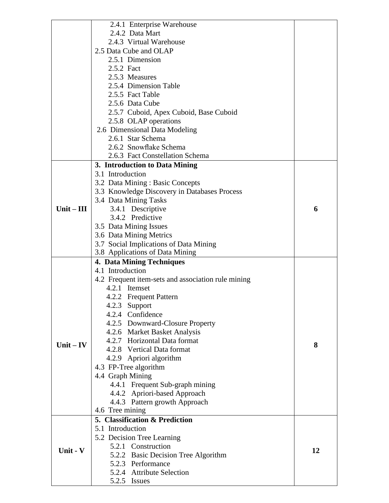|              | 2.4.1 Enterprise Warehouse                         |    |
|--------------|----------------------------------------------------|----|
|              | 2.4.2 Data Mart                                    |    |
|              | 2.4.3 Virtual Warehouse                            |    |
|              | 2.5 Data Cube and OLAP                             |    |
|              | 2.5.1 Dimension                                    |    |
|              | 2.5.2 Fact                                         |    |
|              | 2.5.3 Measures                                     |    |
|              | 2.5.4 Dimension Table                              |    |
|              | 2.5.5 Fact Table                                   |    |
|              | 2.5.6 Data Cube                                    |    |
|              | 2.5.7 Cuboid, Apex Cuboid, Base Cuboid             |    |
|              | 2.5.8 OLAP operations                              |    |
|              | 2.6 Dimensional Data Modeling                      |    |
|              | 2.6.1 Star Schema                                  |    |
|              | 2.6.2 Snowflake Schema                             |    |
|              | 2.6.3 Fact Constellation Schema                    |    |
|              | 3. Introduction to Data Mining                     |    |
|              | 3.1 Introduction                                   |    |
|              | 3.2 Data Mining: Basic Concepts                    |    |
|              | 3.3 Knowledge Discovery in Databases Process       |    |
|              | 3.4 Data Mining Tasks                              |    |
| $Unit - III$ | 3.4.1 Descriptive                                  | 6  |
|              | 3.4.2 Predictive                                   |    |
|              | 3.5 Data Mining Issues                             |    |
|              | 3.6 Data Mining Metrics                            |    |
|              | 3.7 Social Implications of Data Mining             |    |
|              | 3.8 Applications of Data Mining                    |    |
|              | <b>4. Data Mining Techniques</b>                   |    |
|              | 4.1 Introduction                                   |    |
|              | 4.2 Frequent item-sets and association rule mining |    |
|              | 4.2.1 Itemset                                      |    |
|              | 4.2.2 Frequent Pattern                             |    |
|              | 4.2.3 Support                                      |    |
|              | 4.2.4 Confidence                                   |    |
|              | 4.2.5 Downward-Closure Property                    |    |
|              | 4.2.6 Market Basket Analysis                       |    |
|              | 4.2.7 Horizontal Data format                       |    |
| Unit $-$ IV  | 4.2.8 Vertical Data format                         | 8  |
|              | 4.2.9 Apriori algorithm                            |    |
|              | 4.3 FP-Tree algorithm                              |    |
|              | 4.4 Graph Mining                                   |    |
|              | 4.4.1 Frequent Sub-graph mining                    |    |
|              | 4.4.2 Apriori-based Approach                       |    |
|              | 4.4.3 Pattern growth Approach                      |    |
|              | 4.6 Tree mining                                    |    |
|              | 5. Classification & Prediction                     |    |
|              | 5.1 Introduction                                   |    |
|              | 5.2 Decision Tree Learning                         |    |
| Unit - V     | 5.2.1 Construction                                 | 12 |
|              | 5.2.2 Basic Decision Tree Algorithm                |    |
|              |                                                    |    |
|              | 5.2.3 Performance                                  |    |
|              | 5.2.4 Attribute Selection<br>5.2.5 Issues          |    |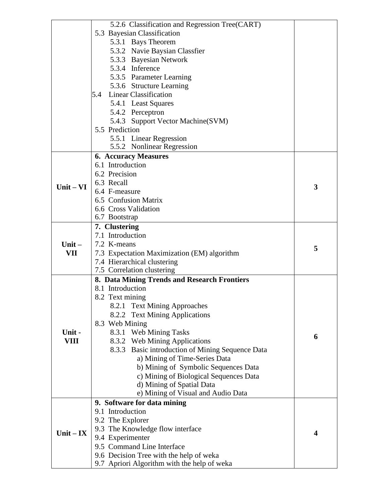|             | 5.2.6 Classification and Regression Tree(CART)   |                         |
|-------------|--------------------------------------------------|-------------------------|
|             | 5.3 Bayesian Classification                      |                         |
|             | 5.3.1 Bays Theorem                               |                         |
|             | 5.3.2 Navie Baysian Classfier                    |                         |
|             | 5.3.3 Bayesian Network                           |                         |
|             | 5.3.4 Inference                                  |                         |
|             | 5.3.5 Parameter Learning                         |                         |
|             | 5.3.6 Structure Learning                         |                         |
|             | Linear Classification<br>5.4                     |                         |
|             | 5.4.1 Least Squares                              |                         |
|             | 5.4.2 Perceptron                                 |                         |
|             | 5.4.3 Support Vector Machine (SVM)               |                         |
|             | 5.5 Prediction                                   |                         |
|             | 5.5.1 Linear Regression                          |                         |
|             | 5.5.2 Nonlinear Regression                       |                         |
|             | <b>6. Accuracy Measures</b>                      |                         |
|             | 6.1 Introduction                                 |                         |
|             | 6.2 Precision                                    |                         |
| $Unit - VI$ | 6.3 Recall                                       | 3                       |
|             | 6.4 F-measure                                    |                         |
|             | 6.5 Confusion Matrix                             |                         |
|             | 6.6 Cross Validation                             |                         |
|             | 6.7 Bootstrap                                    |                         |
|             | 7. Clustering                                    |                         |
| Unit $-$    | 7.1 Introduction                                 |                         |
|             | 7.2 K-means                                      | 5                       |
| VII         | 7.3 Expectation Maximization (EM) algorithm      |                         |
|             | 7.4 Hierarchical clustering                      |                         |
|             | 7.5 Correlation clustering                       |                         |
|             | 8. Data Mining Trends and Research Frontiers     |                         |
|             | 8.1 Introduction                                 |                         |
|             | 8.2 Text mining                                  |                         |
|             | 8.2.1 Text Mining Approaches                     |                         |
|             | 8.2.2 Text Mining Applications                   |                         |
|             | 8.3 Web Mining                                   |                         |
| Unit-       | 8.3.1 Web Mining Tasks                           | 6                       |
| <b>VIII</b> | 8.3.2 Web Mining Applications                    |                         |
|             | 8.3.3 Basic introduction of Mining Sequence Data |                         |
|             | a) Mining of Time-Series Data                    |                         |
|             | b) Mining of Symbolic Sequences Data             |                         |
|             | c) Mining of Biological Sequences Data           |                         |
|             | d) Mining of Spatial Data                        |                         |
|             | e) Mining of Visual and Audio Data               |                         |
|             | 9. Software for data mining                      |                         |
|             | 9.1 Introduction                                 |                         |
|             | 9.2 The Explorer                                 |                         |
| $Unit - IX$ | 9.3 The Knowledge flow interface                 | $\overline{\mathbf{4}}$ |
|             | 9.4 Experimenter                                 |                         |
|             | 9.5 Command Line Interface                       |                         |
|             | 9.6 Decision Tree with the help of weka          |                         |
|             | 9.7 Apriori Algorithm with the help of weka      |                         |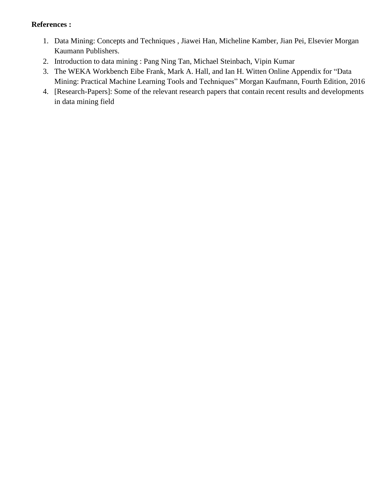#### **References :**

- 1. Data Mining: Concepts and Techniques , Jiawei Han, Micheline Kamber, Jian Pei, Elsevier Morgan Kaumann Publishers.
- 2. Introduction to data mining : Pang Ning Tan, Michael Steinbach, Vipin Kumar
- 3. The WEKA Workbench Eibe Frank, Mark A. Hall, and Ian H. Witten Online Appendix for "Data Mining: Practical Machine Learning Tools and Techniques" Morgan Kaufmann, Fourth Edition, 2016
- 4. [Research-Papers]: Some of the relevant research papers that contain recent results and developments in data mining field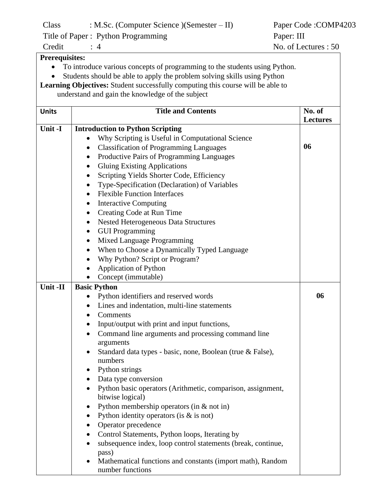Class : M.Sc. (Computer Science )(Semester – II) Paper Code :COMP4203

Title of Paper : Python Programming Paper: III

**Prerequisites:**

- To introduce various concepts of programming to the students using Python.
- Students should be able to apply the problem solving skills using Python

**Learning Objectives:** Student successfully computing this course will be able to understand and gain the knowledge of the subject

| <b>Units</b> | <b>Title and Contents</b>                                             | No. of          |
|--------------|-----------------------------------------------------------------------|-----------------|
|              |                                                                       | <b>Lectures</b> |
| Unit -I      | <b>Introduction to Python Scripting</b>                               |                 |
|              | Why Scripting is Useful in Computational Science                      | 06              |
|              | <b>Classification of Programming Languages</b><br>$\bullet$           |                 |
|              | Productive Pairs of Programming Languages<br>$\bullet$                |                 |
|              | <b>Gluing Existing Applications</b><br>٠                              |                 |
|              | Scripting Yields Shorter Code, Efficiency                             |                 |
|              | Type-Specification (Declaration) of Variables                         |                 |
|              | <b>Flexible Function Interfaces</b><br>$\bullet$                      |                 |
|              | <b>Interactive Computing</b>                                          |                 |
|              | Creating Code at Run Time<br>$\bullet$                                |                 |
|              | <b>Nested Heterogeneous Data Structures</b>                           |                 |
|              | <b>GUI Programming</b>                                                |                 |
|              | Mixed Language Programming                                            |                 |
|              | When to Choose a Dynamically Typed Language                           |                 |
|              | Why Python? Script or Program?                                        |                 |
|              | <b>Application of Python</b>                                          |                 |
|              | Concept (immutable)                                                   |                 |
| Unit -II     | <b>Basic Python</b>                                                   |                 |
|              | Python identifiers and reserved words                                 | 06              |
|              | Lines and indentation, multi-line statements                          |                 |
|              | Comments<br>$\bullet$                                                 |                 |
|              | Input/output with print and input functions,                          |                 |
|              | Command line arguments and processing command line<br>$\bullet$       |                 |
|              | arguments                                                             |                 |
|              | Standard data types - basic, none, Boolean (true & False),            |                 |
|              | numbers                                                               |                 |
|              | Python strings                                                        |                 |
|              | Data type conversion                                                  |                 |
|              | Python basic operators (Arithmetic, comparison, assignment,           |                 |
|              | bitwise logical)                                                      |                 |
|              | Python membership operators (in $&$ not in)<br>٠                      |                 |
|              | Python identity operators (is $\&$ is not)                            |                 |
|              | Operator precedence                                                   |                 |
|              | Control Statements, Python loops, Iterating by                        |                 |
|              | subsequence index, loop control statements (break, continue,<br>pass) |                 |
|              | Mathematical functions and constants (import math), Random            |                 |
|              | number functions                                                      |                 |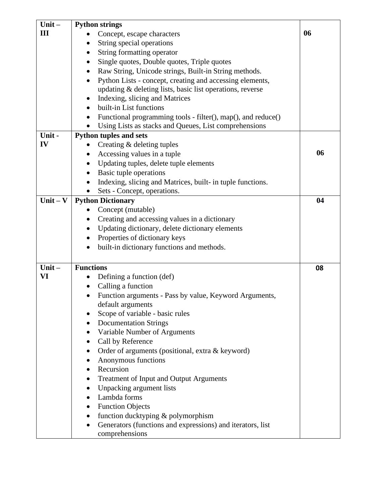| $Unit -$   | <b>Python strings</b>                                                                            |    |
|------------|--------------------------------------------------------------------------------------------------|----|
| Ш          | Concept, escape characters                                                                       | 06 |
|            | String special operations                                                                        |    |
|            | String formatting operator                                                                       |    |
|            | Single quotes, Double quotes, Triple quotes                                                      |    |
|            | Raw String, Unicode strings, Built-in String methods.                                            |    |
|            | Python Lists - concept, creating and accessing elements,                                         |    |
|            | updating & deleting lists, basic list operations, reverse                                        |    |
|            | Indexing, slicing and Matrices                                                                   |    |
|            | built-in List functions                                                                          |    |
|            | Functional programming tools - filter(), map(), and reduce()                                     |    |
|            | Using Lists as stacks and Queues, List comprehensions                                            |    |
| Unit-      | <b>Python tuples and sets</b>                                                                    |    |
| IV         | Creating & deleting tuples                                                                       |    |
|            | Accessing values in a tuple                                                                      | 06 |
|            | Updating tuples, delete tuple elements                                                           |    |
|            | Basic tuple operations<br>٠                                                                      |    |
|            | Indexing, slicing and Matrices, built- in tuple functions.                                       |    |
| Unit $-$ V | Sets - Concept, operations.                                                                      | 04 |
|            | <b>Python Dictionary</b>                                                                         |    |
|            | Concept (mutable)                                                                                |    |
|            | Creating and accessing values in a dictionary<br>Updating dictionary, delete dictionary elements |    |
|            | Properties of dictionary keys<br>٠                                                               |    |
|            | built-in dictionary functions and methods.                                                       |    |
|            |                                                                                                  |    |
| Unit $-$   | <b>Functions</b>                                                                                 | 08 |
| VI         | Defining a function (def)                                                                        |    |
|            | Calling a function                                                                               |    |
|            | Function arguments - Pass by value, Keyword Arguments,<br>$\bullet$                              |    |
|            | default arguments                                                                                |    |
|            | Scope of variable - basic rules                                                                  |    |
|            | <b>Documentation Strings</b>                                                                     |    |
|            | Variable Number of Arguments                                                                     |    |
|            | Call by Reference                                                                                |    |
|            | Order of arguments (positional, extra & keyword)                                                 |    |
|            | Anonymous functions                                                                              |    |
|            | Recursion                                                                                        |    |
|            | Treatment of Input and Output Arguments                                                          |    |
|            | Unpacking argument lists                                                                         |    |
|            | Lambda forms                                                                                     |    |
|            | <b>Function Objects</b>                                                                          |    |
|            | function ducktyping & polymorphism                                                               |    |
|            | Generators (functions and expressions) and iterators, list                                       |    |
|            | comprehensions                                                                                   |    |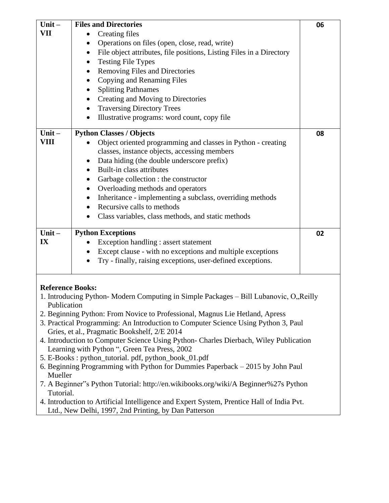| Unit $-$                                                                                               | <b>Files and Directories</b>                                                           | 06 |  |  |  |
|--------------------------------------------------------------------------------------------------------|----------------------------------------------------------------------------------------|----|--|--|--|
| VII                                                                                                    | <b>Creating files</b>                                                                  |    |  |  |  |
|                                                                                                        | Operations on files (open, close, read, write)                                         |    |  |  |  |
|                                                                                                        | File object attributes, file positions, Listing Files in a Directory                   |    |  |  |  |
|                                                                                                        | <b>Testing File Types</b><br>٠                                                         |    |  |  |  |
|                                                                                                        | Removing Files and Directories                                                         |    |  |  |  |
|                                                                                                        | Copying and Renaming Files                                                             |    |  |  |  |
|                                                                                                        | <b>Splitting Pathnames</b>                                                             |    |  |  |  |
|                                                                                                        | Creating and Moving to Directories                                                     |    |  |  |  |
|                                                                                                        | <b>Traversing Directory Trees</b><br>$\bullet$                                         |    |  |  |  |
|                                                                                                        | Illustrative programs: word count, copy file<br>$\bullet$                              |    |  |  |  |
| $Unit -$                                                                                               | <b>Python Classes / Objects</b>                                                        | 08 |  |  |  |
| VIII                                                                                                   | Object oriented programming and classes in Python - creating                           |    |  |  |  |
|                                                                                                        | classes, instance objects, accessing members                                           |    |  |  |  |
|                                                                                                        | Data hiding (the double underscore prefix)                                             |    |  |  |  |
|                                                                                                        | Built-in class attributes<br>$\bullet$                                                 |    |  |  |  |
|                                                                                                        | Garbage collection : the constructor                                                   |    |  |  |  |
|                                                                                                        | Overloading methods and operators<br>٠                                                 |    |  |  |  |
|                                                                                                        | Inheritance - implementing a subclass, overriding methods<br>$\bullet$                 |    |  |  |  |
|                                                                                                        | Recursive calls to methods                                                             |    |  |  |  |
|                                                                                                        | Class variables, class methods, and static methods                                     |    |  |  |  |
| $Unit -$                                                                                               | <b>Python Exceptions</b>                                                               | 02 |  |  |  |
| IX                                                                                                     | Exception handling : assert statement                                                  |    |  |  |  |
|                                                                                                        | Except clause - with no exceptions and multiple exceptions                             |    |  |  |  |
|                                                                                                        | Try - finally, raising exceptions, user-defined exceptions.<br>$\bullet$               |    |  |  |  |
|                                                                                                        |                                                                                        |    |  |  |  |
|                                                                                                        |                                                                                        |    |  |  |  |
| <b>Reference Books:</b>                                                                                | 1. Introducing Python-Modern Computing in Simple Packages - Bill Lubanovic, O., Reilly |    |  |  |  |
| Publication                                                                                            |                                                                                        |    |  |  |  |
|                                                                                                        | 2. Beginning Python: From Novice to Professional, Magnus Lie Hetland, Apress           |    |  |  |  |
|                                                                                                        | 3. Practical Programming: An Introduction to Computer Science Using Python 3, Paul     |    |  |  |  |
|                                                                                                        | Gries, et al., Pragmatic Bookshelf, 2/E 2014                                           |    |  |  |  |
|                                                                                                        | 4. Introduction to Computer Science Using Python- Charles Dierbach, Wiley Publication  |    |  |  |  |
|                                                                                                        | Learning with Python ", Green Tea Press, 2002                                          |    |  |  |  |
| 5. E-Books: python_tutorial. pdf, python_book_01.pdf                                                   |                                                                                        |    |  |  |  |
|                                                                                                        | 6. Beginning Programming with Python for Dummies Paperback - 2015 by John Paul         |    |  |  |  |
| Mueller                                                                                                |                                                                                        |    |  |  |  |
| 7. A Beginner"s Python Tutorial: http://en.wikibooks.org/wiki/A Beginner%27s Python                    |                                                                                        |    |  |  |  |
| Tutorial.<br>4. Introduction to Artificial Intelligence and Expert System, Prentice Hall of India Pvt. |                                                                                        |    |  |  |  |
|                                                                                                        | Ltd., New Delhi, 1997, 2nd Printing, by Dan Patterson                                  |    |  |  |  |
|                                                                                                        |                                                                                        |    |  |  |  |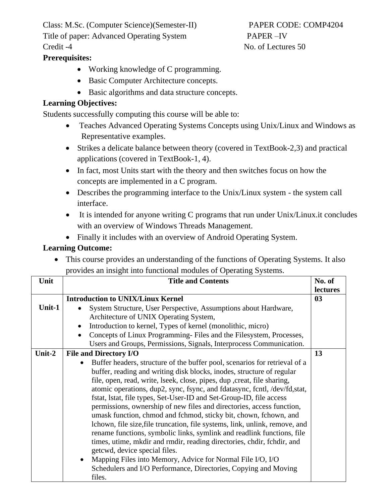Class: M.Sc. (Computer Science)(Semester-II) PAPER CODE: COMP4204 Title of paper: Advanced Operating System PAPER –IV Credit -4 No. of Lectures 50

## **Prerequisites:**

- Working knowledge of C programming.
- Basic Computer Architecture concepts.
- Basic algorithms and data structure concepts.

#### **Learning Objectives:**

Students successfully computing this course will be able to:

- Teaches Advanced Operating Systems Concepts using Unix/Linux and Windows as Representative examples.
- Strikes a delicate balance between theory (covered in TextBook-2,3) and practical applications (covered in TextBook-1, 4).
- In fact, most Units start with the theory and then switches focus on how the concepts are implemented in a C program.
- Describes the programming interface to the Unix/Linux system the system call interface.
- It is intended for anyone writing C programs that run under Unix/Linux.it concludes with an overview of Windows Threads Management.
- Finally it includes with an overview of Android Operating System.

## **Learning Outcome:**

• This course provides an understanding of the functions of Operating Systems. It also provides an insight into functional modules of Operating Systems.

| Unit   | <b>Title and Contents</b>                                                                                                                                                                                                                                                                                                                                                                                                                                                                                                                                                                                                                                                                                                                                                                                                                                                                                                                       | No. of   |
|--------|-------------------------------------------------------------------------------------------------------------------------------------------------------------------------------------------------------------------------------------------------------------------------------------------------------------------------------------------------------------------------------------------------------------------------------------------------------------------------------------------------------------------------------------------------------------------------------------------------------------------------------------------------------------------------------------------------------------------------------------------------------------------------------------------------------------------------------------------------------------------------------------------------------------------------------------------------|----------|
|        |                                                                                                                                                                                                                                                                                                                                                                                                                                                                                                                                                                                                                                                                                                                                                                                                                                                                                                                                                 | lectures |
|        | <b>Introduction to UNIX/Linux Kernel</b>                                                                                                                                                                                                                                                                                                                                                                                                                                                                                                                                                                                                                                                                                                                                                                                                                                                                                                        | 03       |
| Unit-1 | System Structure, User Perspective, Assumptions about Hardware,<br>Architecture of UNIX Operating System,                                                                                                                                                                                                                                                                                                                                                                                                                                                                                                                                                                                                                                                                                                                                                                                                                                       |          |
|        | Introduction to kernel, Types of kernel (monolithic, micro)                                                                                                                                                                                                                                                                                                                                                                                                                                                                                                                                                                                                                                                                                                                                                                                                                                                                                     |          |
|        | Concepts of Linux Programming-Files and the Filesystem, Processes,<br>$\bullet$                                                                                                                                                                                                                                                                                                                                                                                                                                                                                                                                                                                                                                                                                                                                                                                                                                                                 |          |
|        | Users and Groups, Permissions, Signals, Interprocess Communication.                                                                                                                                                                                                                                                                                                                                                                                                                                                                                                                                                                                                                                                                                                                                                                                                                                                                             |          |
| Unit-2 | <b>File and Directory I/O</b>                                                                                                                                                                                                                                                                                                                                                                                                                                                                                                                                                                                                                                                                                                                                                                                                                                                                                                                   | 13       |
|        | Buffer headers, structure of the buffer pool, scenarios for retrieval of a<br>buffer, reading and writing disk blocks, inodes, structure of regular<br>file, open, read, write, lseek, close, pipes, dup , creat, file sharing,<br>atomic operations, dup2, sync, fsync, and fdatasync, fcntl, /dev/fd,stat,<br>fstat, 1stat, file types, Set-User-ID and Set-Group-ID, file access<br>permissions, ownership of new files and directories, access function,<br>umask function, chmod and fchmod, sticky bit, chown, fchown, and<br>lchown, file size, file truncation, file systems, link, unlink, remove, and<br>rename functions, symbolic links, symlink and readlink functions, file<br>times, utime, mkdir and rmdir, reading directories, chdir, fchdir, and<br>getcwd, device special files.<br>Mapping Files into Memory, Advice for Normal File I/O, I/O<br>Schedulers and I/O Performance, Directories, Copying and Moving<br>files. |          |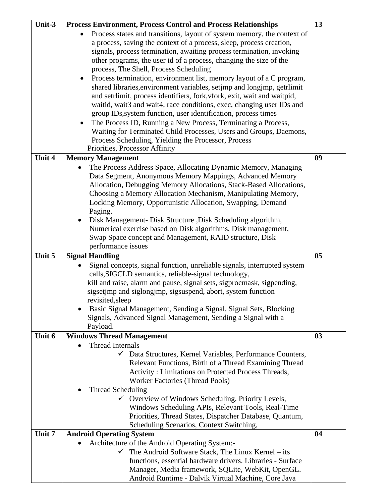| Unit-3 | <b>Process Environment, Process Control and Process Relationships</b>                                    | 13             |
|--------|----------------------------------------------------------------------------------------------------------|----------------|
|        | Process states and transitions, layout of system memory, the context of<br>$\bullet$                     |                |
|        | a process, saving the context of a process, sleep, process creation,                                     |                |
|        |                                                                                                          |                |
|        | signals, process termination, awaiting process termination, invoking                                     |                |
|        | other programs, the user id of a process, changing the size of the                                       |                |
|        | process, The Shell, Process Scheduling                                                                   |                |
|        | Process termination, environment list, memory layout of a C program,                                     |                |
|        | shared libraries, environment variables, setjmp and longjmp, getrlimit                                   |                |
|        | and setrlimit, process identifiers, fork, vfork, exit, wait and waitpid,                                 |                |
|        | waitid, wait3 and wait4, race conditions, exec, changing user IDs and                                    |                |
|        | group IDs, system function, user identification, process times                                           |                |
|        | The Process ID, Running a New Process, Terminating a Process,<br>$\bullet$                               |                |
|        | Waiting for Terminated Child Processes, Users and Groups, Daemons,                                       |                |
|        | Process Scheduling, Yielding the Processor, Process                                                      |                |
|        | Priorities, Processor Affinity                                                                           |                |
| Unit 4 | <b>Memory Management</b>                                                                                 | 09             |
|        | The Process Address Space, Allocating Dynamic Memory, Managing                                           |                |
|        | Data Segment, Anonymous Memory Mappings, Advanced Memory                                                 |                |
|        | Allocation, Debugging Memory Allocations, Stack-Based Allocations,                                       |                |
|        | Choosing a Memory Allocation Mechanism, Manipulating Memory,                                             |                |
|        | Locking Memory, Opportunistic Allocation, Swapping, Demand                                               |                |
|        | Paging.                                                                                                  |                |
|        | Disk Management- Disk Structure , Disk Scheduling algorithm,<br>$\bullet$                                |                |
|        | Numerical exercise based on Disk algorithms, Disk management,                                            |                |
|        | Swap Space concept and Management, RAID structure, Disk                                                  |                |
|        | performance issues                                                                                       |                |
|        |                                                                                                          |                |
| Unit 5 | <b>Signal Handling</b>                                                                                   | 0 <sub>5</sub> |
|        | Signal concepts, signal function, unreliable signals, interrupted system                                 |                |
|        | calls, SIGCLD semantics, reliable-signal technology,                                                     |                |
|        | kill and raise, alarm and pause, signal sets, sigprocmask, sigpending,                                   |                |
|        | sigsetimp and siglongimp, sigsuspend, abort, system function                                             |                |
|        | revisited, sleep                                                                                         |                |
|        | Basic Signal Management, Sending a Signal, Signal Sets, Blocking<br>$\bullet$                            |                |
|        | Signals, Advanced Signal Management, Sending a Signal with a                                             |                |
|        | Payload.                                                                                                 |                |
| Unit 6 | <b>Windows Thread Management</b>                                                                         | 03             |
|        | Thread Internals                                                                                         |                |
|        | Data Structures, Kernel Variables, Performance Counters,                                                 |                |
|        | Relevant Functions, Birth of a Thread Examining Thread                                                   |                |
|        | Activity: Limitations on Protected Process Threads,                                                      |                |
|        | <b>Worker Factories (Thread Pools)</b>                                                                   |                |
|        | <b>Thread Scheduling</b>                                                                                 |                |
|        | $\checkmark$ Overview of Windows Scheduling, Priority Levels,                                            |                |
|        | Windows Scheduling APIs, Relevant Tools, Real-Time                                                       |                |
|        | Priorities, Thread States, Dispatcher Database, Quantum,                                                 |                |
|        | Scheduling Scenarios, Context Switching,                                                                 |                |
| Unit 7 | <b>Android Operating System</b>                                                                          | 04             |
|        | Architecture of the Android Operating System:-                                                           |                |
|        | The Android Software Stack, The Linux Kernel - its                                                       |                |
|        | functions, essential hardware drivers. Libraries - Surface                                               |                |
|        | Manager, Media framework, SQLite, WebKit, OpenGL.<br>Android Runtime - Dalvik Virtual Machine, Core Java |                |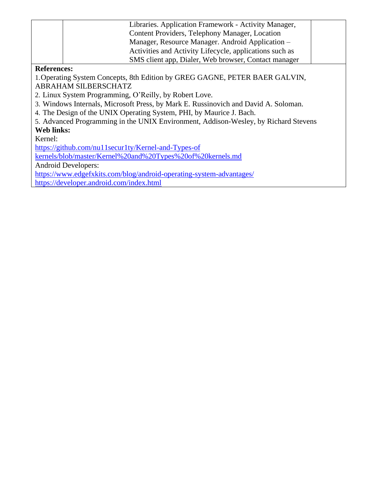|                    | Libraries. Application Framework - Activity Manager,    |  |
|--------------------|---------------------------------------------------------|--|
|                    | Content Providers, Telephony Manager, Location          |  |
|                    | Manager, Resource Manager. Android Application -        |  |
|                    | Activities and Activity Lifecycle, applications such as |  |
|                    | SMS client app, Dialer, Web browser, Contact manager    |  |
| <b>References:</b> |                                                         |  |

1.Operating System Concepts, 8th Edition by GREG GAGNE, PETER BAER GALVIN, ABRAHAM SILBERSCHATZ

2. Linux System Programming, O'Reilly, by Robert Love.

3. Windows Internals, Microsoft Press, by Mark E. Russinovich and David A. Soloman.

4. The Design of the UNIX Operating System, PHI, by Maurice J. Bach.

5. Advanced Programming in the UNIX Environment, Addison-Wesley, by Richard Stevens **Web links:**

Kernel:

[https://github.com/nu11secur1ty/Kernel-and-Types-of](https://github.com/nu11secur1ty/Kernel-and-Types-of%20kernels/blob/master/Kernel%20and%20Types%20of%20kernels.md)

[kernels/blob/master/Kernel%20and%20Types%20of%20kernels.md](https://github.com/nu11secur1ty/Kernel-and-Types-of%20kernels/blob/master/Kernel%20and%20Types%20of%20kernels.md)

Android Developers:

<https://www.edgefxkits.com/blog/android-operating-system-advantages/>

<https://developer.android.com/index.html>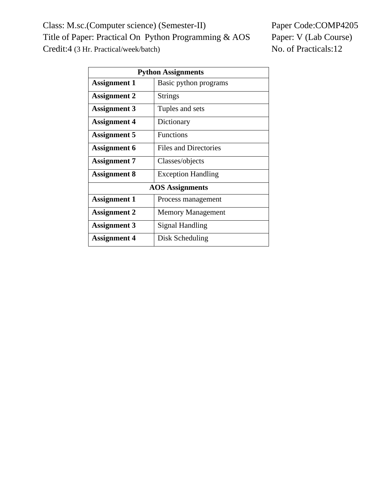Class: M.sc.(Computer science) (Semester-II) Paper Code:COMP4205 Title of Paper: Practical On Python Programming & AOS Paper: V (Lab Course) Credit:4 (3 Hr. Practical/week/batch) No. of Practicals:12

| <b>Python Assignments</b> |                              |  |
|---------------------------|------------------------------|--|
| <b>Assignment 1</b>       | Basic python programs        |  |
| <b>Assignment 2</b>       | <b>Strings</b>               |  |
| <b>Assignment 3</b>       | Tuples and sets              |  |
| <b>Assignment 4</b>       | Dictionary                   |  |
| <b>Assignment 5</b>       | <b>Functions</b>             |  |
| <b>Assignment 6</b>       | <b>Files and Directories</b> |  |
| <b>Assignment 7</b>       | Classes/objects              |  |
| Assignment 8              | <b>Exception Handling</b>    |  |
| <b>AOS</b> Assignments    |                              |  |
| <b>Assignment 1</b>       | Process management           |  |
| Assignment 2              | <b>Memory Management</b>     |  |
| <b>Assignment 3</b>       | Signal Handling              |  |
| <b>Assignment 4</b>       | Disk Scheduling              |  |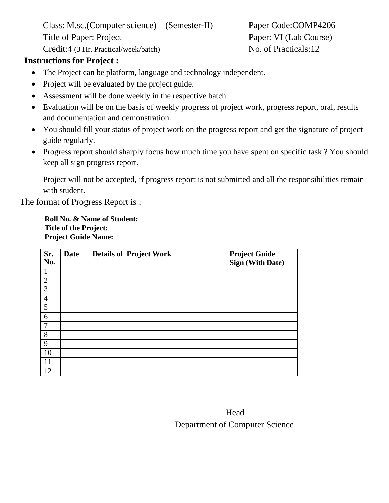Class: M.sc.(Computer science) (Semester-II) Paper Code:COMP4206 Title of Paper: Project Paper: VI (Lab Course) Credit:4 (3 Hr. Practical/week/batch) No. of Practicals:12

# **Instructions for Project :**

- The Project can be platform, language and technology independent.
- Project will be evaluated by the project guide.
- Assessment will be done weekly in the respective batch.
- Evaluation will be on the basis of weekly progress of project work, progress report, oral, results and documentation and demonstration.
- You should fill your status of project work on the progress report and get the signature of project guide regularly.
- Progress report should sharply focus how much time you have spent on specific task ? You should keep all sign progress report.

Project will not be accepted, if progress report is not submitted and all the responsibilities remain with student.

The format of Progress Report is :

| <b>Roll No. &amp; Name of Student:</b> |  |
|----------------------------------------|--|
| <b>Title of the Project:</b>           |  |
| <b>Project Guide Name:</b>             |  |

| Sr.<br>No.     | <b>Date</b> | <b>Details of Project Work</b> | <b>Project Guide</b><br>Sign (With Date) |
|----------------|-------------|--------------------------------|------------------------------------------|
| $\mathbf{1}$   |             |                                |                                          |
| $\overline{2}$ |             |                                |                                          |
| 3              |             |                                |                                          |
| $\overline{4}$ |             |                                |                                          |
| $\mathfrak{S}$ |             |                                |                                          |
| 6              |             |                                |                                          |
| $\overline{7}$ |             |                                |                                          |
| 8              |             |                                |                                          |
| 9              |             |                                |                                          |
| 10             |             |                                |                                          |
| 11             |             |                                |                                          |
| 12             |             |                                |                                          |

| Head                           |
|--------------------------------|
| Department of Computer Science |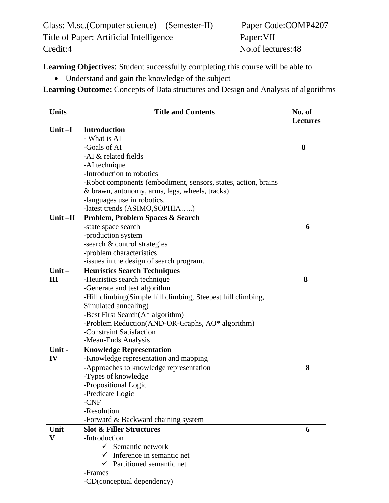Class: M.sc.(Computer science) (Semester-II) Paper Code:COMP4207 Title of Paper: Artificial Intelligence Paper: VII Credit:4 No.of lectures:48

**Learning Objectives**: Student successfully completing this course will be able to

• Understand and gain the knowledge of the subject

**Learning Outcome:** Concepts of Data structures and Design and Analysis of algorithms

| <b>Units</b> | <b>Title and Contents</b>                                      | No. of<br><b>Lectures</b> |
|--------------|----------------------------------------------------------------|---------------------------|
| Unit $-I$    | <b>Introduction</b>                                            |                           |
|              | - What is AI                                                   |                           |
|              | -Goals of AI                                                   | 8                         |
|              | -AI & related fields                                           |                           |
|              | -AI technique                                                  |                           |
|              | -Introduction to robotics                                      |                           |
|              | -Robot components (embodiment, sensors, states, action, brains |                           |
|              | & brawn, autonomy, arms, legs, wheels, tracks)                 |                           |
|              | -languages use in robotics.                                    |                           |
|              | -latest trends (ASIMO, SOPHIA)                                 |                           |
| Unit-II      | <b>Problem, Problem Spaces &amp; Search</b>                    |                           |
|              | -state space search                                            | 6                         |
|              | -production system                                             |                           |
|              | -search & control strategies                                   |                           |
|              | -problem characteristics                                       |                           |
|              | -issues in the design of search program.                       |                           |
| Unit $-$     | <b>Heuristics Search Techniques</b>                            |                           |
| III          | -Heuristics search technique                                   | 8                         |
|              | -Generate and test algorithm                                   |                           |
|              | -Hill climbing (Simple hill climbing, Steepest hill climbing,  |                           |
|              | Simulated annealing)                                           |                           |
|              | -Best First Search $(A^*$ algorithm)                           |                           |
|              | -Problem Reduction(AND-OR-Graphs, AO* algorithm)               |                           |
|              | -Constraint Satisfaction                                       |                           |
|              | -Mean-Ends Analysis                                            |                           |
| Unit-        | <b>Knowledge Representation</b>                                |                           |
| IV           | -Knowledge representation and mapping                          |                           |
|              | -Approaches to knowledge representation                        | 8                         |
|              | -Types of knowledge                                            |                           |
|              | -Propositional Logic                                           |                           |
|              | -Predicate Logic                                               |                           |
|              | -CNF                                                           |                           |
|              | -Resolution                                                    |                           |
|              | -Forward & Backward chaining system                            |                           |
| Unit $-$     | <b>Slot &amp; Filler Structures</b>                            | 6                         |
| $\mathbf{V}$ | -Introduction                                                  |                           |
|              | $\checkmark$ Semantic network                                  |                           |
|              | $\checkmark$ Inference in semantic net                         |                           |
|              | $\checkmark$ Partitioned semantic net                          |                           |
|              | -Frames                                                        |                           |
|              | -CD(conceptual dependency)                                     |                           |